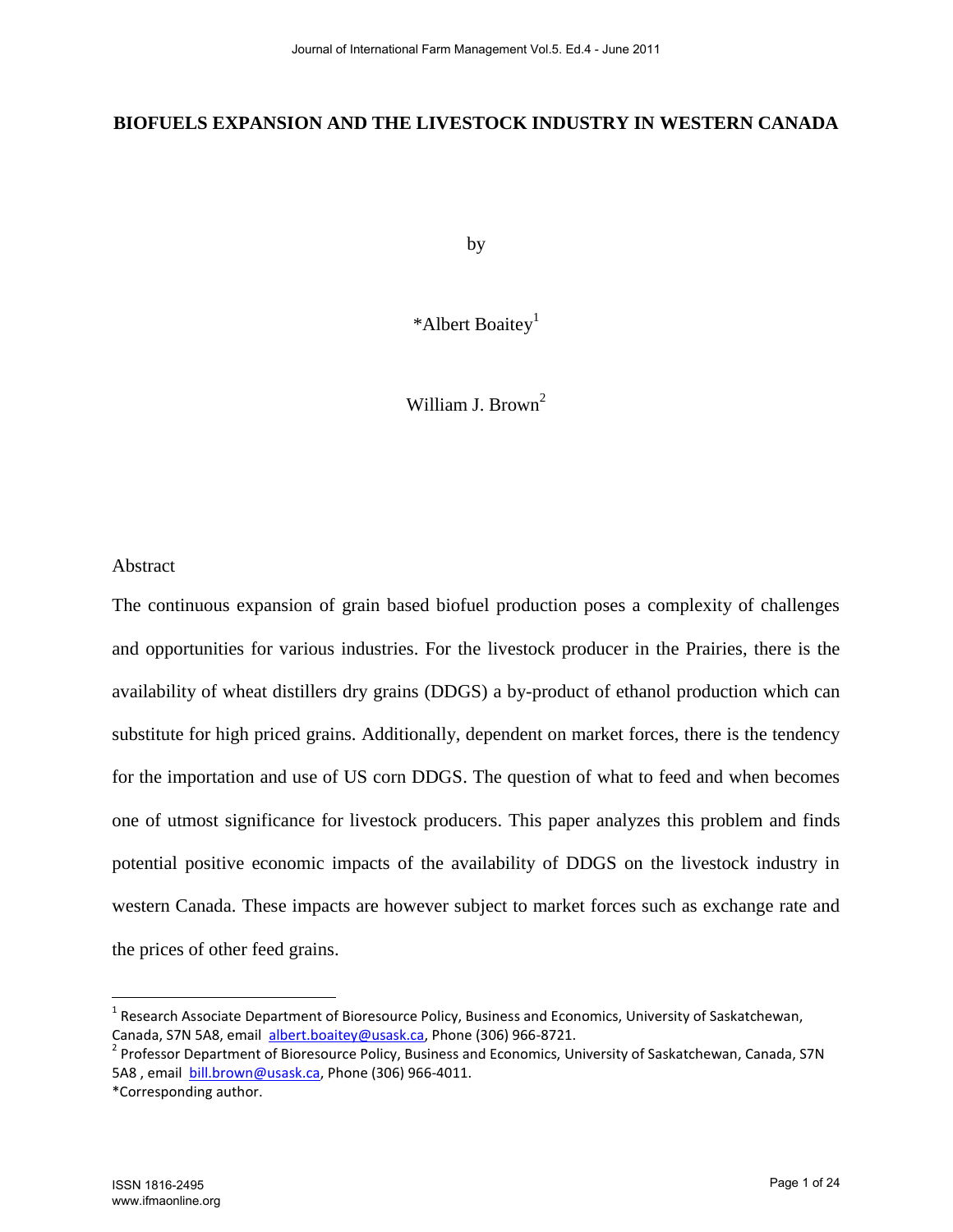## **BIOFUELS EXPANSION AND THE LIVESTOCK INDUSTRY IN WESTERN CANADA**

by

\*Albert Boaitey<sup>1</sup>

William J. Brown<sup>2</sup>

#### Abstract

The continuous expansion of grain based biofuel production poses a complexity of challenges and opportunities for various industries. For the livestock producer in the Prairies, there is the availability of wheat distillers dry grains (DDGS) a by-product of ethanol production which can substitute for high priced grains. Additionally, dependent on market forces, there is the tendency for the importation and use of US corn DDGS. The question of what to feed and when becomes one of utmost significance for livestock producers. This paper analyzes this problem and finds potential positive economic impacts of the availability of DDGS on the livestock industry in western Canada. These impacts are however subject to market forces such as exchange rate and the prices of other feed grains.

 $\overline{a}$ 

<sup>&</sup>lt;sup>1</sup> Research Associate Department of Bioresource Policy, Business and Economics, University of Saskatchewan, Canada, S7N 5A8, email albert.boaitey@usask.ca, Phone (306) 966-8721.

<sup>&</sup>lt;sup>2</sup> Professor Department of Bioresource Policy, Business and Economics, University of Saskatchewan, Canada, S7N 5A8 , email bill.brown@usask.ca, Phone (306) 966-4011.

<sup>\*</sup>Corresponding author.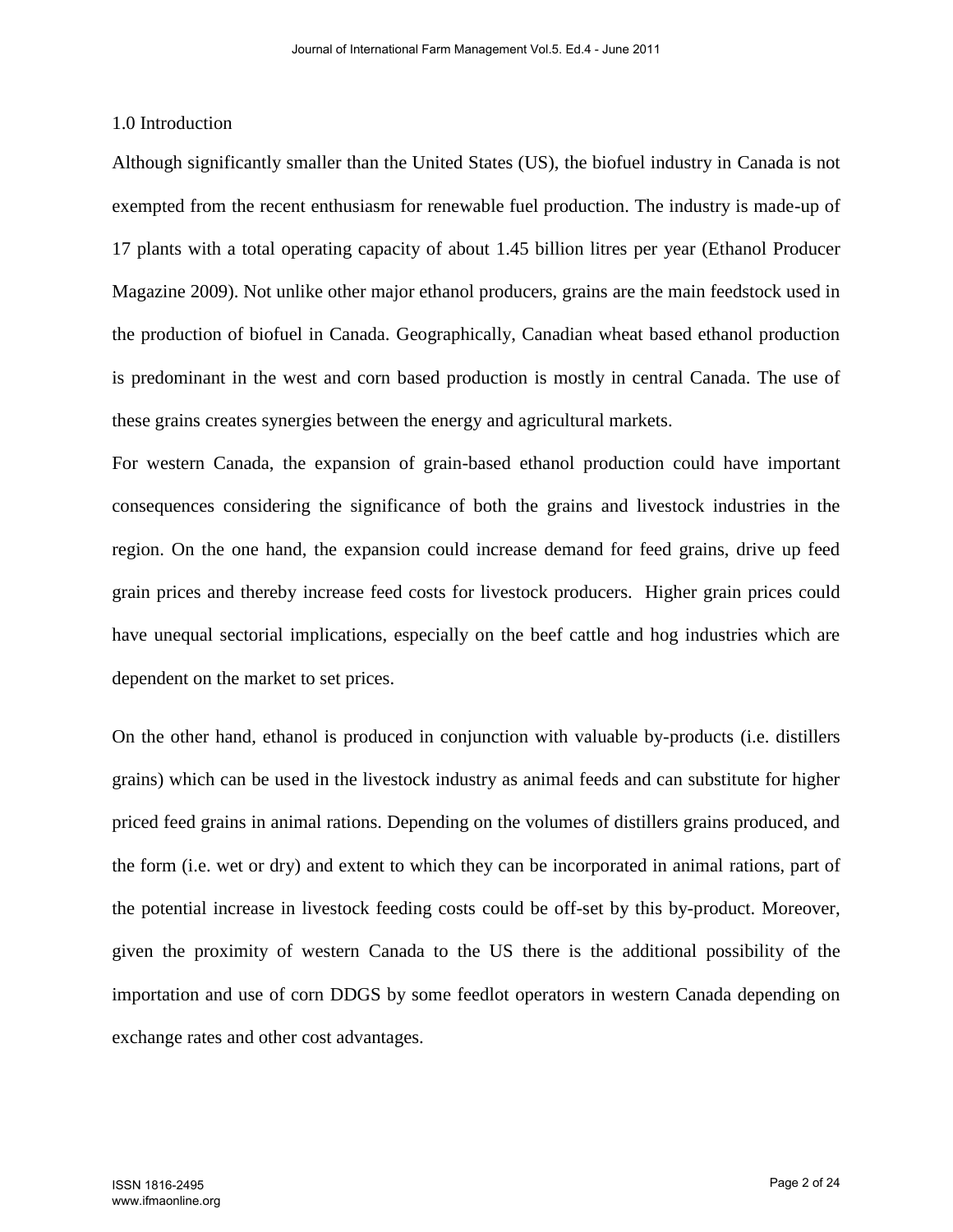#### 1.0 Introduction

Although significantly smaller than the United States (US), the biofuel industry in Canada is not exempted from the recent enthusiasm for renewable fuel production. The industry is made-up of 17 plants with a total operating capacity of about 1.45 billion litres per year (Ethanol Producer Magazine 2009). Not unlike other major ethanol producers, grains are the main feedstock used in the production of biofuel in Canada. Geographically, Canadian wheat based ethanol production is predominant in the west and corn based production is mostly in central Canada. The use of these grains creates synergies between the energy and agricultural markets.

For western Canada, the expansion of grain-based ethanol production could have important consequences considering the significance of both the grains and livestock industries in the region. On the one hand, the expansion could increase demand for feed grains, drive up feed grain prices and thereby increase feed costs for livestock producers. Higher grain prices could have unequal sectorial implications, especially on the beef cattle and hog industries which are dependent on the market to set prices.

On the other hand, ethanol is produced in conjunction with valuable by-products (i.e. distillers grains) which can be used in the livestock industry as animal feeds and can substitute for higher priced feed grains in animal rations. Depending on the volumes of distillers grains produced, and the form (i.e. wet or dry) and extent to which they can be incorporated in animal rations, part of the potential increase in livestock feeding costs could be off-set by this by-product. Moreover, given the proximity of western Canada to the US there is the additional possibility of the importation and use of corn DDGS by some feedlot operators in western Canada depending on exchange rates and other cost advantages.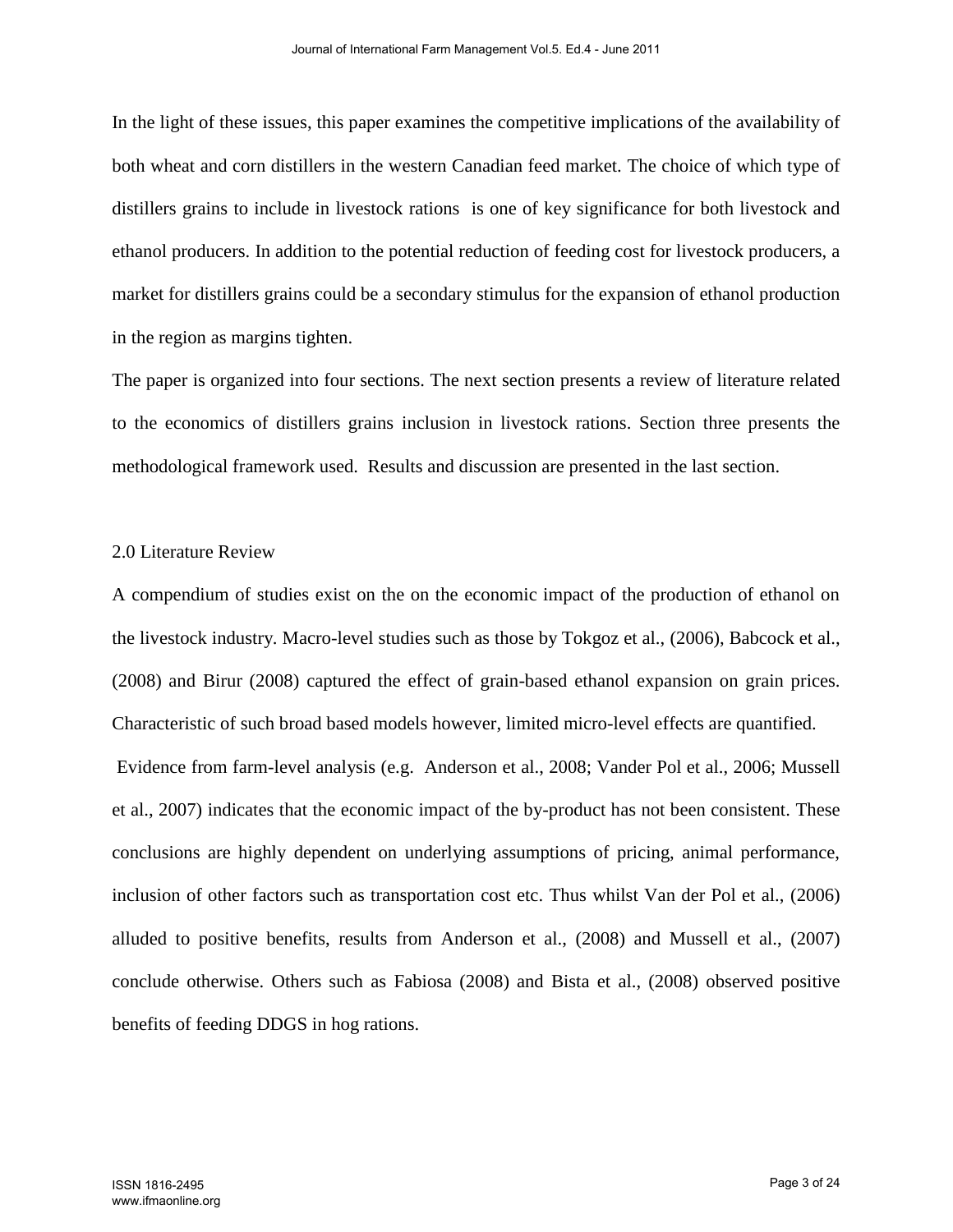In the light of these issues, this paper examines the competitive implications of the availability of both wheat and corn distillers in the western Canadian feed market. The choice of which type of distillers grains to include in livestock rations is one of key significance for both livestock and ethanol producers. In addition to the potential reduction of feeding cost for livestock producers, a market for distillers grains could be a secondary stimulus for the expansion of ethanol production in the region as margins tighten.

The paper is organized into four sections. The next section presents a review of literature related to the economics of distillers grains inclusion in livestock rations. Section three presents the methodological framework used. Results and discussion are presented in the last section.

#### 2.0 Literature Review

A compendium of studies exist on the on the economic impact of the production of ethanol on the livestock industry. Macro-level studies such as those by Tokgoz et al., (2006), Babcock et al., (2008) and Birur (2008) captured the effect of grain-based ethanol expansion on grain prices. Characteristic of such broad based models however, limited micro-level effects are quantified. Evidence from farm-level analysis (e.g. Anderson et al., 2008; Vander Pol et al., 2006; Mussell

et al., 2007) indicates that the economic impact of the by-product has not been consistent. These conclusions are highly dependent on underlying assumptions of pricing, animal performance, inclusion of other factors such as transportation cost etc. Thus whilst Van der Pol et al., (2006) alluded to positive benefits, results from Anderson et al., (2008) and Mussell et al., (2007) conclude otherwise. Others such as Fabiosa (2008) and Bista et al., (2008) observed positive benefits of feeding DDGS in hog rations.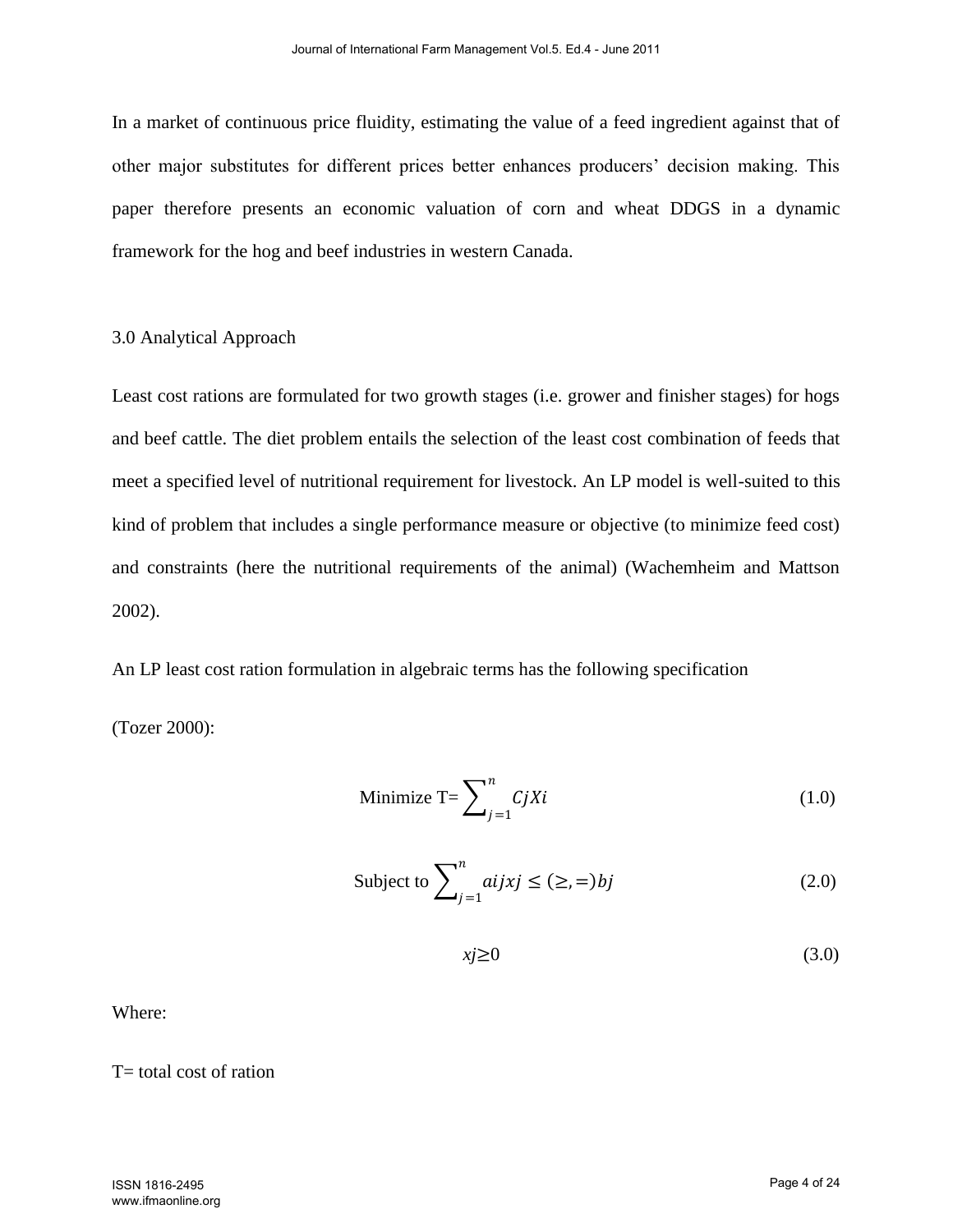In a market of continuous price fluidity, estimating the value of a feed ingredient against that of other major substitutes for different prices better enhances producers' decision making. This paper therefore presents an economic valuation of corn and wheat DDGS in a dynamic framework for the hog and beef industries in western Canada.

#### 3.0 Analytical Approach

Least cost rations are formulated for two growth stages (i.e. grower and finisher stages) for hogs and beef cattle. The diet problem entails the selection of the least cost combination of feeds that meet a specified level of nutritional requirement for livestock. An LP model is well-suited to this kind of problem that includes a single performance measure or objective (to minimize feed cost) and constraints (here the nutritional requirements of the animal) (Wachemheim and Mattson 2002).

An LP least cost ration formulation in algebraic terms has the following specification

(Tozer 2000):

$$
\text{Minimize } \mathbf{T} = \sum_{j=1}^{n} CjXi \tag{1.0}
$$

Subject to 
$$
\sum_{j=1}^{n} a_{ij}x_j \le (\ge, =) bj \tag{2.0}
$$

$$
xj \ge 0 \tag{3.0}
$$

Where:

 $T=$  total cost of ration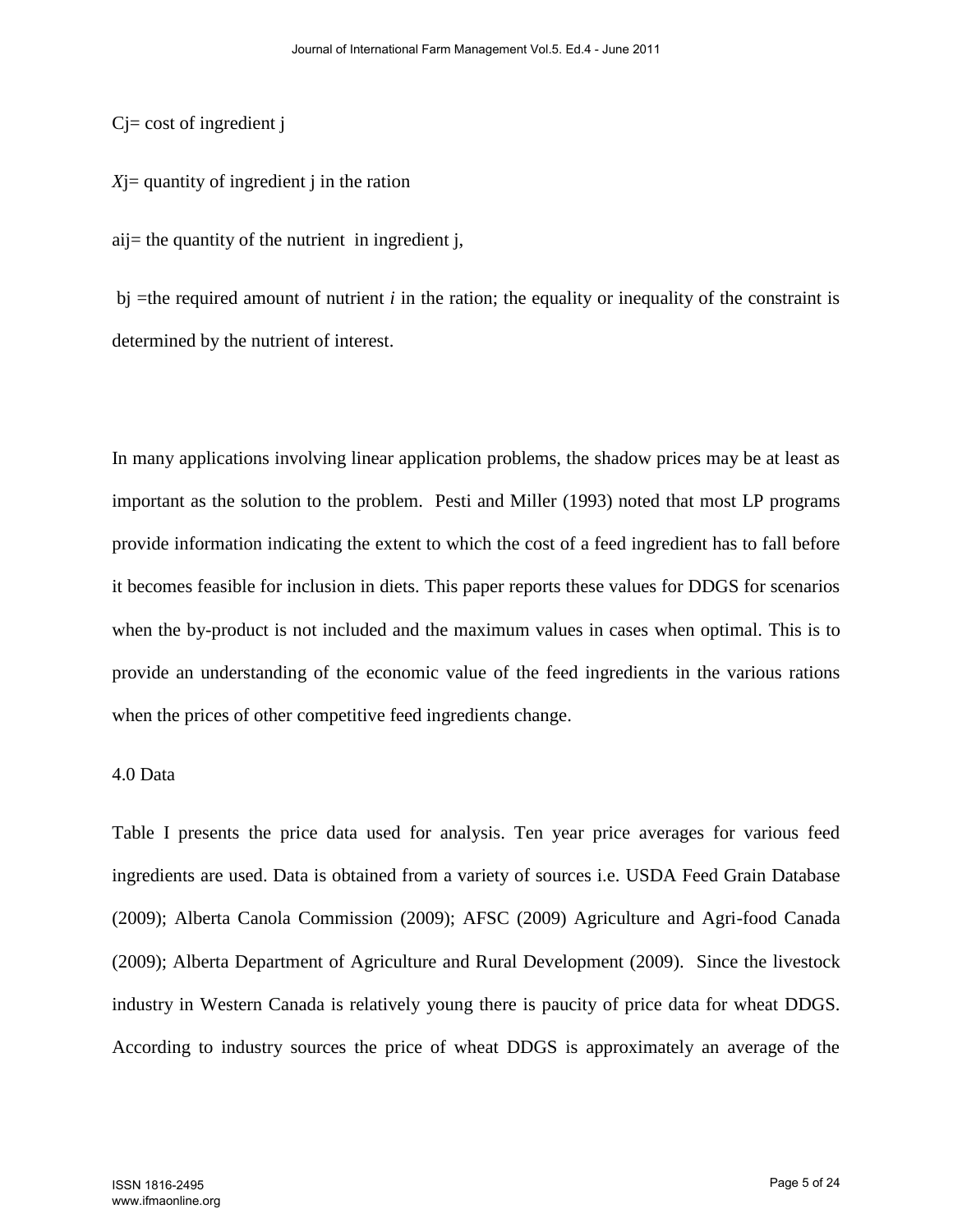$Cj = cost of ingredient j$ 

*X*j= quantity of ingredient j in the ration

 $ai =$  the quantity of the nutrient in ingredient j,

 $b$ j =the required amount of nutrient *i* in the ration; the equality or inequality of the constraint is determined by the nutrient of interest.

In many applications involving linear application problems, the shadow prices may be at least as important as the solution to the problem. Pesti and Miller (1993) noted that most LP programs provide information indicating the extent to which the cost of a feed ingredient has to fall before it becomes feasible for inclusion in diets. This paper reports these values for DDGS for scenarios when the by-product is not included and the maximum values in cases when optimal. This is to provide an understanding of the economic value of the feed ingredients in the various rations when the prices of other competitive feed ingredients change.

#### 4.0 Data

Table I presents the price data used for analysis. Ten year price averages for various feed ingredients are used. Data is obtained from a variety of sources i.e. USDA Feed Grain Database (2009); Alberta Canola Commission (2009); AFSC (2009) Agriculture and Agri-food Canada (2009); Alberta Department of Agriculture and Rural Development (2009). Since the livestock industry in Western Canada is relatively young there is paucity of price data for wheat DDGS. According to industry sources the price of wheat DDGS is approximately an average of the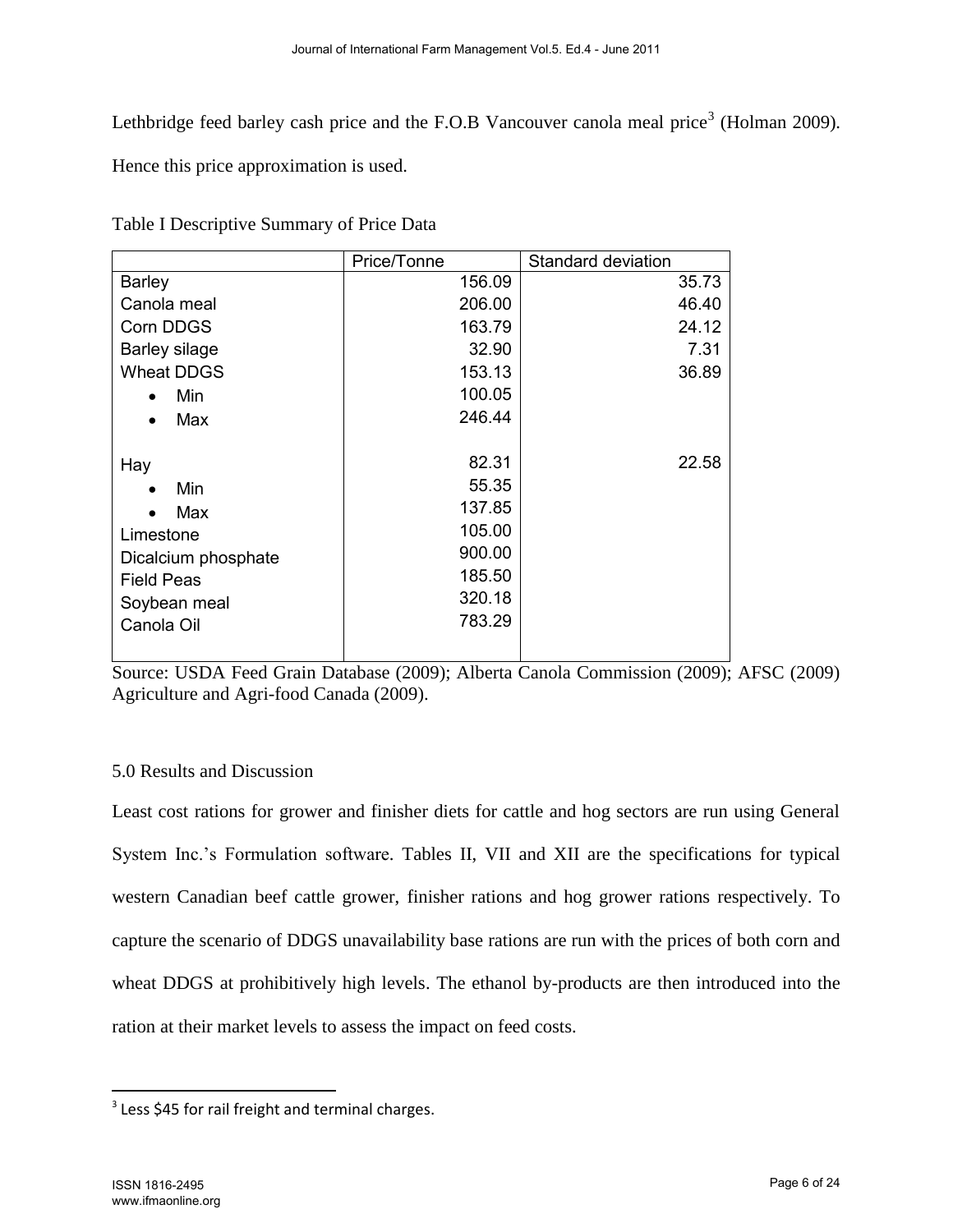Lethbridge feed barley cash price and the F.O.B Vancouver canola meal price<sup>3</sup> (Holman 2009).

Hence this price approximation is used.

|                      | Price/Tonne | Standard deviation |
|----------------------|-------------|--------------------|
| <b>Barley</b>        | 156.09      | 35.73              |
| Canola meal          | 206.00      | 46.40              |
| Corn DDGS            | 163.79      | 24.12              |
| <b>Barley silage</b> | 32.90       | 7.31               |
| <b>Wheat DDGS</b>    | 153.13      | 36.89              |
| Min<br>$\bullet$     | 100.05      |                    |
| Max                  | 246.44      |                    |
|                      |             |                    |
| Hay                  | 82.31       | 22.58              |
| Min                  | 55.35       |                    |
| Max                  | 137.85      |                    |
| Limestone            | 105.00      |                    |
| Dicalcium phosphate  | 900.00      |                    |
| <b>Field Peas</b>    | 185.50      |                    |
| Soybean meal         | 320.18      |                    |
| Canola Oil           | 783.29      |                    |
|                      |             |                    |

Table I Descriptive Summary of Price Data

Source: USDA Feed Grain Database (2009); Alberta Canola Commission (2009); AFSC (2009) Agriculture and Agri-food Canada (2009).

# 5.0 Results and Discussion

Least cost rations for grower and finisher diets for cattle and hog sectors are run using General System Inc.'s Formulation software. Tables II, VII and XII are the specifications for typical western Canadian beef cattle grower, finisher rations and hog grower rations respectively. To capture the scenario of DDGS unavailability base rations are run with the prices of both corn and wheat DDGS at prohibitively high levels. The ethanol by-products are then introduced into the ration at their market levels to assess the impact on feed costs.

 $\overline{\phantom{a}}$ 

 $3$  Less \$45 for rail freight and terminal charges.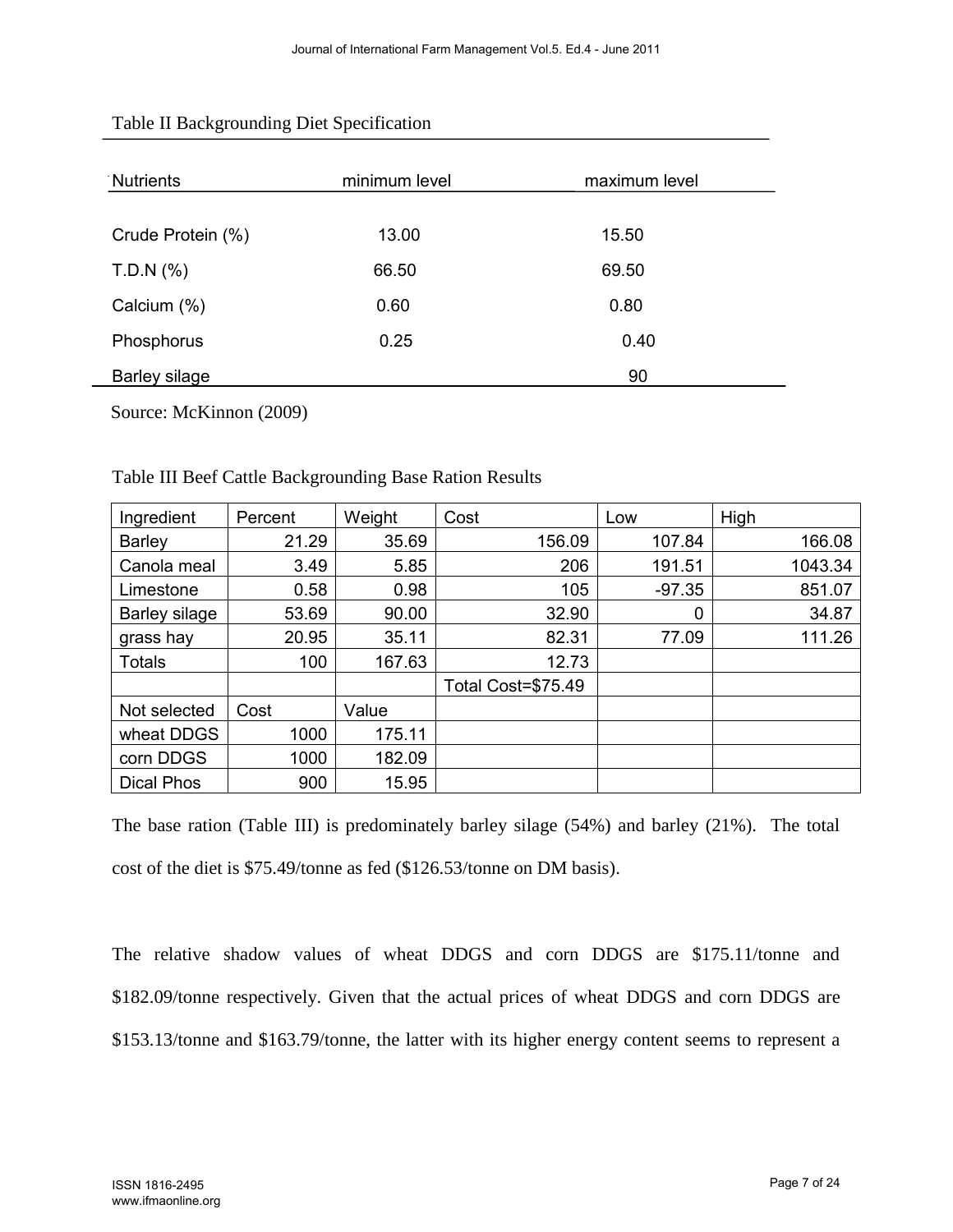| Nutrients         | minimum level | maximum level |
|-------------------|---------------|---------------|
| Crude Protein (%) | 13.00         | 15.50         |
| T.D.N (%)         | 66.50         | 69.50         |
| Calcium (%)       | 0.60          | 0.80          |
| Phosphorus        | 0.25          | 0.40          |
| Barley silage     |               | 90            |

#### Table II Backgrounding Diet Specification

Source: McKinnon (2009)

| Ingredient           | Percent | Weight | Cost               | Low      | High    |
|----------------------|---------|--------|--------------------|----------|---------|
| <b>Barley</b>        | 21.29   | 35.69  | 156.09             | 107.84   | 166.08  |
| Canola meal          | 3.49    | 5.85   | 206                | 191.51   | 1043.34 |
| Limestone            | 0.58    | 0.98   | 105                | $-97.35$ | 851.07  |
| <b>Barley silage</b> | 53.69   | 90.00  | 32.90              | 0        | 34.87   |
| grass hay            | 20.95   | 35.11  | 82.31              | 77.09    | 111.26  |
| <b>Totals</b>        | 100     | 167.63 | 12.73              |          |         |
|                      |         |        | Total Cost=\$75.49 |          |         |
| Not selected         | Cost    | Value  |                    |          |         |
| wheat DDGS           | 1000    | 175.11 |                    |          |         |
| corn DDGS            | 1000    | 182.09 |                    |          |         |
| <b>Dical Phos</b>    | 900     | 15.95  |                    |          |         |

## Table III Beef Cattle Backgrounding Base Ration Results

The base ration (Table III) is predominately barley silage (54%) and barley (21%). The total cost of the diet is \$75.49/tonne as fed (\$126.53/tonne on DM basis).

The relative shadow values of wheat DDGS and corn DDGS are \$175.11/tonne and \$182.09/tonne respectively. Given that the actual prices of wheat DDGS and corn DDGS are \$153.13/tonne and \$163.79/tonne, the latter with its higher energy content seems to represent a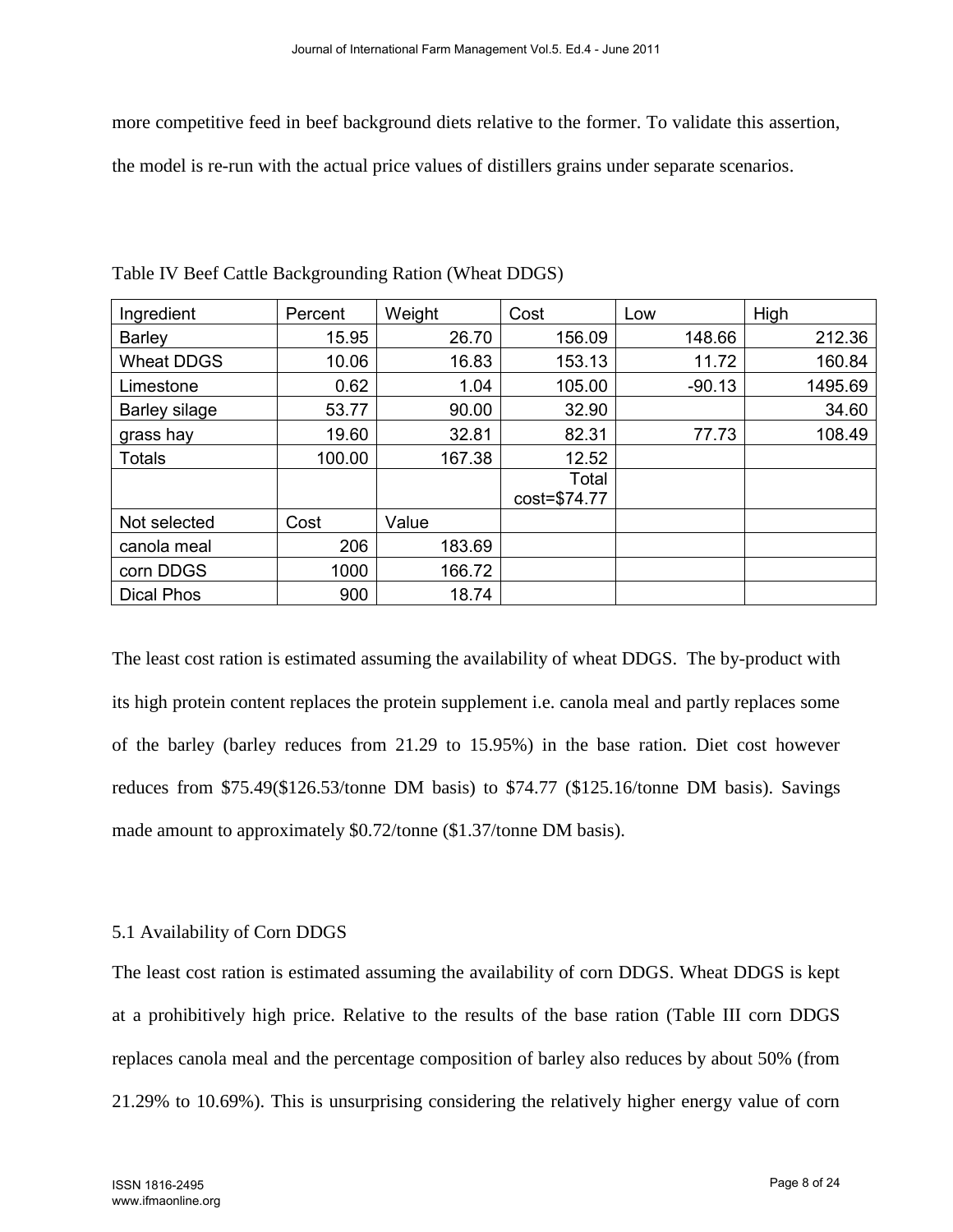more competitive feed in beef background diets relative to the former. To validate this assertion,

the model is re-run with the actual price values of distillers grains under separate scenarios.

| Ingredient           | Percent | Weight | Cost                  | Low      | High    |
|----------------------|---------|--------|-----------------------|----------|---------|
| <b>Barley</b>        | 15.95   | 26.70  | 156.09                | 148.66   | 212.36  |
| <b>Wheat DDGS</b>    | 10.06   | 16.83  | 153.13                | 11.72    | 160.84  |
| Limestone            | 0.62    | 1.04   | 105.00                | $-90.13$ | 1495.69 |
| <b>Barley silage</b> | 53.77   | 90.00  | 32.90                 |          | 34.60   |
| grass hay            | 19.60   | 32.81  | 82.31                 | 77.73    | 108.49  |
| <b>Totals</b>        | 100.00  | 167.38 | 12.52                 |          |         |
|                      |         |        | Total<br>cost=\$74.77 |          |         |
| Not selected         | Cost    | Value  |                       |          |         |
| canola meal          | 206     | 183.69 |                       |          |         |
| corn DDGS            | 1000    | 166.72 |                       |          |         |
| <b>Dical Phos</b>    | 900     | 18.74  |                       |          |         |

Table IV Beef Cattle Backgrounding Ration (Wheat DDGS)

The least cost ration is estimated assuming the availability of wheat DDGS. The by-product with its high protein content replaces the protein supplement i.e. canola meal and partly replaces some of the barley (barley reduces from 21.29 to 15.95%) in the base ration. Diet cost however reduces from \$75.49(\$126.53/tonne DM basis) to \$74.77 (\$125.16/tonne DM basis). Savings made amount to approximately \$0.72/tonne (\$1.37/tonne DM basis).

## 5.1 Availability of Corn DDGS

The least cost ration is estimated assuming the availability of corn DDGS. Wheat DDGS is kept at a prohibitively high price. Relative to the results of the base ration (Table III corn DDGS replaces canola meal and the percentage composition of barley also reduces by about 50% (from 21.29% to 10.69%). This is unsurprising considering the relatively higher energy value of corn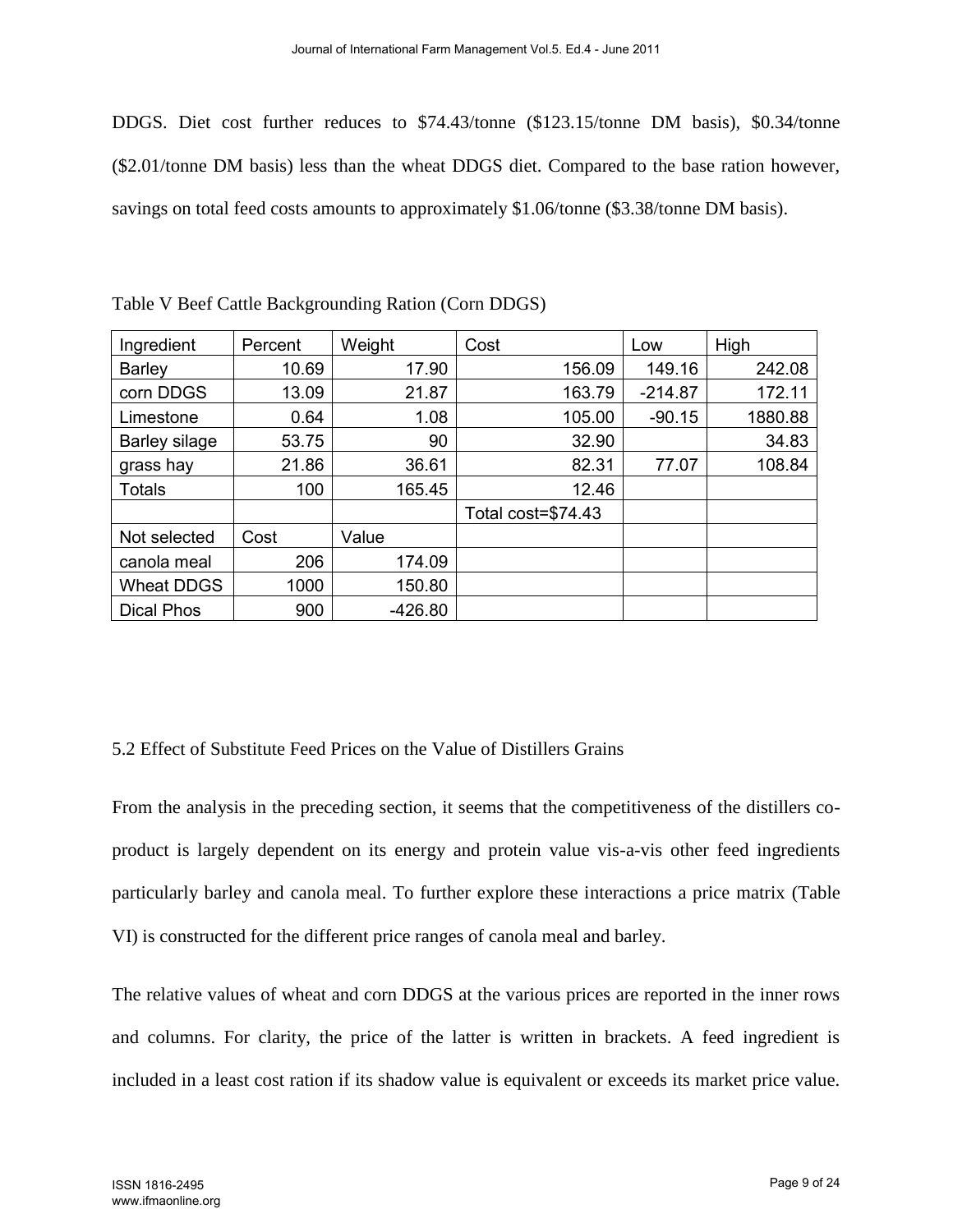DDGS. Diet cost further reduces to \$74.43/tonne (\$123.15/tonne DM basis), \$0.34/tonne (\$2.01/tonne DM basis) less than the wheat DDGS diet. Compared to the base ration however, savings on total feed costs amounts to approximately \$1.06/tonne (\$3.38/tonne DM basis).

| Ingredient        | Percent | Weight    | Cost               | Low       | High    |
|-------------------|---------|-----------|--------------------|-----------|---------|
| <b>Barley</b>     | 10.69   | 17.90     | 156.09             | 149.16    | 242.08  |
| corn DDGS         | 13.09   | 21.87     | 163.79             | $-214.87$ | 172.11  |
| Limestone         | 0.64    | 1.08      | 105.00             | $-90.15$  | 1880.88 |
| Barley silage     | 53.75   | 90        | 32.90              |           | 34.83   |
| grass hay         | 21.86   | 36.61     | 82.31              | 77.07     | 108.84  |
| <b>Totals</b>     | 100     | 165.45    | 12.46              |           |         |
|                   |         |           | Total cost=\$74.43 |           |         |
| Not selected      | Cost    | Value     |                    |           |         |
| canola meal       | 206     | 174.09    |                    |           |         |
| Wheat DDGS        | 1000    | 150.80    |                    |           |         |
| <b>Dical Phos</b> | 900     | $-426.80$ |                    |           |         |

Table V Beef Cattle Backgrounding Ration (Corn DDGS)

## 5.2 Effect of Substitute Feed Prices on the Value of Distillers Grains

From the analysis in the preceding section, it seems that the competitiveness of the distillers coproduct is largely dependent on its energy and protein value vis-a-vis other feed ingredients particularly barley and canola meal. To further explore these interactions a price matrix (Table VI) is constructed for the different price ranges of canola meal and barley.

The relative values of wheat and corn DDGS at the various prices are reported in the inner rows and columns. For clarity, the price of the latter is written in brackets. A feed ingredient is included in a least cost ration if its shadow value is equivalent or exceeds its market price value.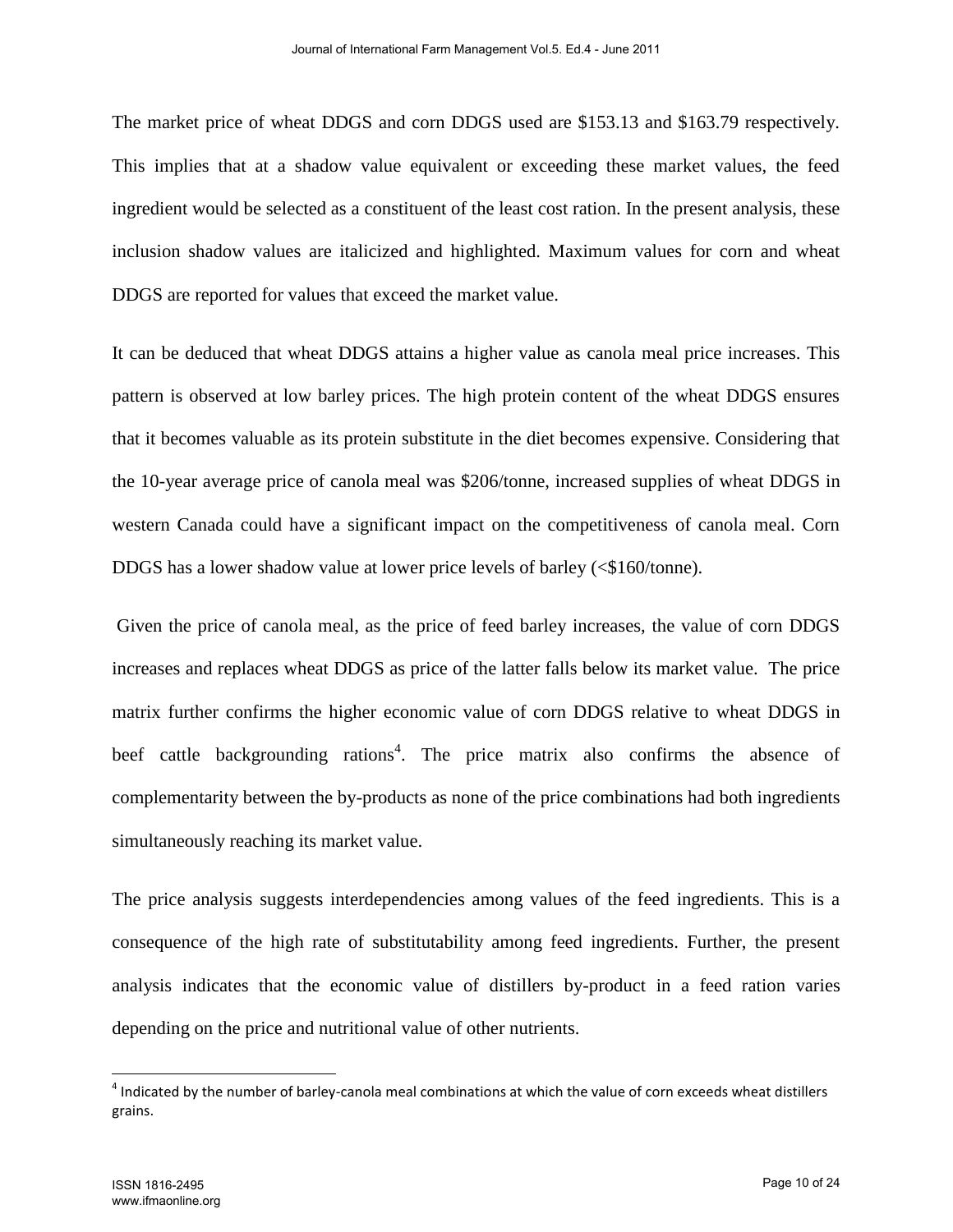The market price of wheat DDGS and corn DDGS used are \$153.13 and \$163.79 respectively. This implies that at a shadow value equivalent or exceeding these market values, the feed ingredient would be selected as a constituent of the least cost ration. In the present analysis, these inclusion shadow values are italicized and highlighted. Maximum values for corn and wheat DDGS are reported for values that exceed the market value.

It can be deduced that wheat DDGS attains a higher value as canola meal price increases. This pattern is observed at low barley prices. The high protein content of the wheat DDGS ensures that it becomes valuable as its protein substitute in the diet becomes expensive. Considering that the 10-year average price of canola meal was \$206/tonne, increased supplies of wheat DDGS in western Canada could have a significant impact on the competitiveness of canola meal. Corn DDGS has a lower shadow value at lower price levels of barley (<\$160/tonne).

Given the price of canola meal, as the price of feed barley increases, the value of corn DDGS increases and replaces wheat DDGS as price of the latter falls below its market value. The price matrix further confirms the higher economic value of corn DDGS relative to wheat DDGS in beef cattle backgrounding rations<sup>4</sup>. The price matrix also confirms the absence of complementarity between the by-products as none of the price combinations had both ingredients simultaneously reaching its market value.

The price analysis suggests interdependencies among values of the feed ingredients. This is a consequence of the high rate of substitutability among feed ingredients. Further, the present analysis indicates that the economic value of distillers by-product in a feed ration varies depending on the price and nutritional value of other nutrients.

l

 $<sup>4</sup>$  Indicated by the number of barley-canola meal combinations at which the value of corn exceeds wheat distillers</sup> grains.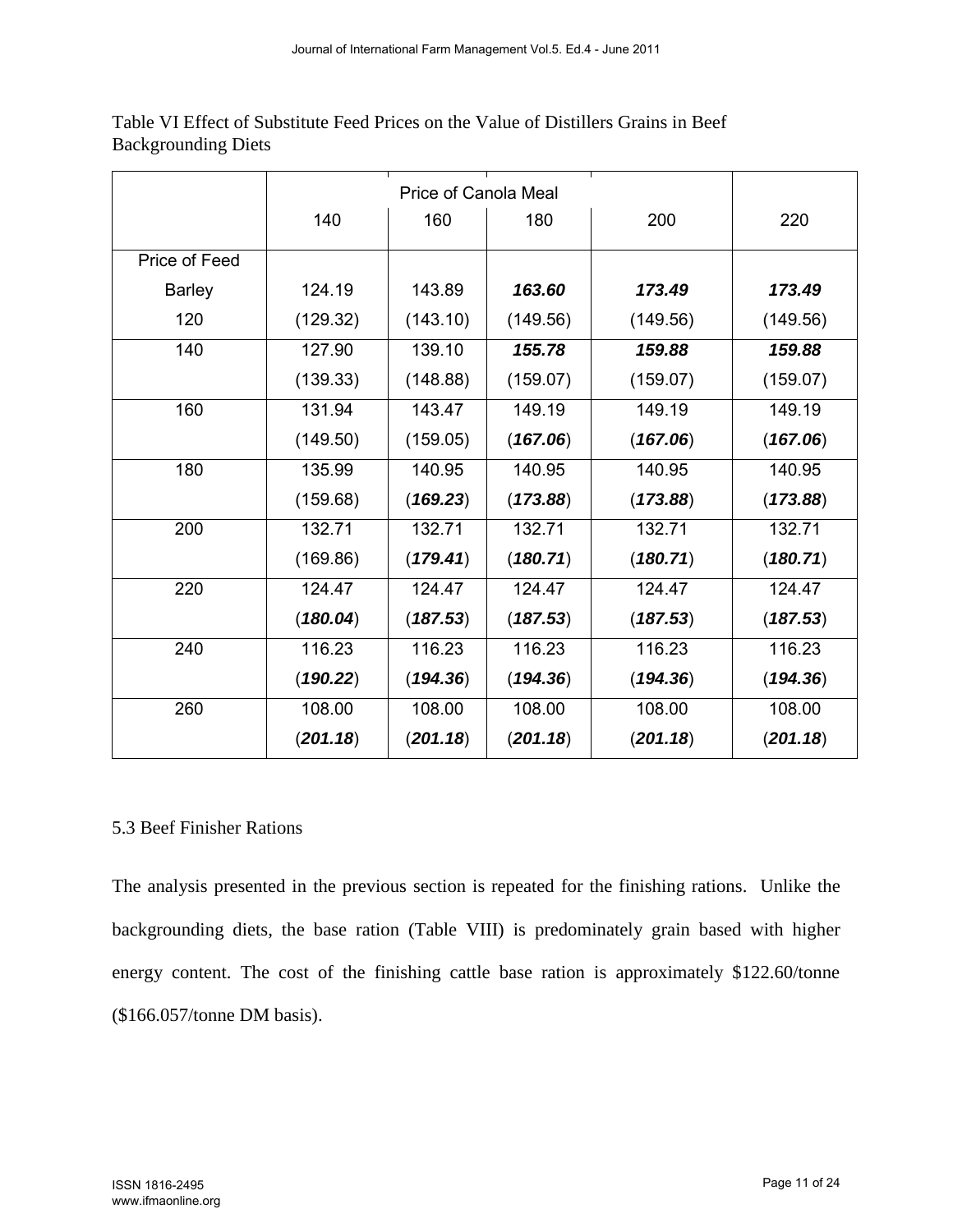|               | 140      | 160      | 180      | 200      | 220      |
|---------------|----------|----------|----------|----------|----------|
| Price of Feed |          |          |          |          |          |
| <b>Barley</b> | 124.19   | 143.89   | 163.60   | 173.49   | 173.49   |
| 120           | (129.32) | (143.10) | (149.56) | (149.56) | (149.56) |
| 140           | 127.90   | 139.10   | 155.78   | 159.88   | 159.88   |
|               | (139.33) | (148.88) | (159.07) | (159.07) | (159.07) |
| 160           | 131.94   | 143.47   | 149.19   | 149.19   | 149.19   |
|               | (149.50) | (159.05) | (167.06) | (167.06) | (167.06) |
| 180           | 135.99   | 140.95   | 140.95   | 140.95   | 140.95   |
|               | (159.68) | (169.23) | (173.88) | (173.88) | (173.88) |
| 200           | 132.71   | 132.71   | 132.71   | 132.71   | 132.71   |
|               | (169.86) | (179.41) | (180.71) | (180.71) | (180.71) |
| 220           | 124.47   | 124.47   | 124.47   | 124.47   | 124.47   |
|               | (180.04) | (187.53) | (187.53) | (187.53) | (187.53) |
| 240           | 116.23   | 116.23   | 116.23   | 116.23   | 116.23   |
|               | (190.22) | (194.36) | (194.36) | (194.36) | (194.36) |
| 260           | 108.00   | 108.00   | 108.00   | 108.00   | 108.00   |
|               | (201.18) | (201.18) | (201.18) | (201.18) | (201.18) |

Table VI Effect of Substitute Feed Prices on the Value of Distillers Grains in Beef Backgrounding Diets

## 5.3 Beef Finisher Rations

The analysis presented in the previous section is repeated for the finishing rations. Unlike the backgrounding diets, the base ration (Table VIII) is predominately grain based with higher energy content. The cost of the finishing cattle base ration is approximately \$122.60/tonne (\$166.057/tonne DM basis).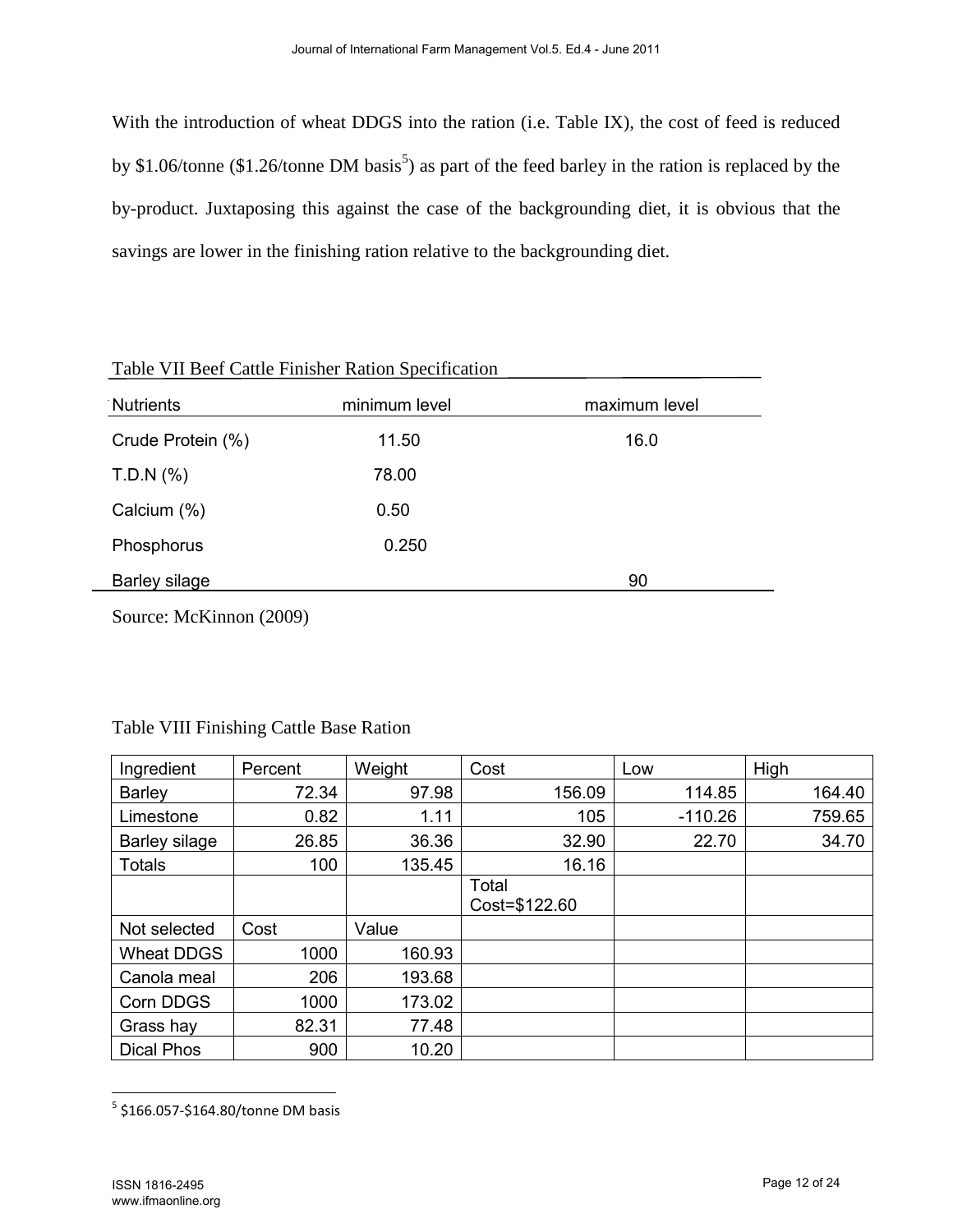With the introduction of wheat DDGS into the ration (i.e. Table IX), the cost of feed is reduced by \$1.06/tonne (\$1.26/tonne DM basis<sup>5</sup>) as part of the feed barley in the ration is replaced by the by-product. Juxtaposing this against the case of the backgrounding diet, it is obvious that the savings are lower in the finishing ration relative to the backgrounding diet.

| Table VII Beef Cattle Finisher Ration Specification                             |               |               |  |  |  |  |  |
|---------------------------------------------------------------------------------|---------------|---------------|--|--|--|--|--|
| Nutrients                                                                       | minimum level | maximum level |  |  |  |  |  |
| Crude Protein (%)                                                               | 11.50         | 16.0          |  |  |  |  |  |
| T.D.N (%)                                                                       | 78.00         |               |  |  |  |  |  |
| Calcium (%)                                                                     | 0.50          |               |  |  |  |  |  |
| Phosphorus                                                                      | 0.250         |               |  |  |  |  |  |
| Barley silage                                                                   |               | 90            |  |  |  |  |  |
| $\sim$ $\sim$ $\sim$ $\sim$ $\sim$<br>$\sim$ $\sim$ $\sim$ $\sim$ $\sim$ $\sim$ |               |               |  |  |  |  |  |

Source: McKinnon (2009)

| Ingredient           | Percent | Weight | Cost                   | Low       | High   |
|----------------------|---------|--------|------------------------|-----------|--------|
| <b>Barley</b>        | 72.34   | 97.98  | 156.09                 | 114.85    | 164.40 |
| Limestone            | 0.82    | 1.11   | 105                    | $-110.26$ | 759.65 |
| <b>Barley silage</b> | 26.85   | 36.36  | 32.90                  | 22.70     | 34.70  |
| <b>Totals</b>        | 100     | 135.45 | 16.16                  |           |        |
|                      |         |        | Total<br>Cost=\$122.60 |           |        |
| Not selected         | Cost    | Value  |                        |           |        |
| <b>Wheat DDGS</b>    | 1000    | 160.93 |                        |           |        |
| Canola meal          | 206     | 193.68 |                        |           |        |
| Corn DDGS            | 1000    | 173.02 |                        |           |        |
| Grass hay            | 82.31   | 77.48  |                        |           |        |
| <b>Dical Phos</b>    | 900     | 10.20  |                        |           |        |

Table VIII Finishing Cattle Base Ration

 5 \$166.057-\$164.80/tonne DM basis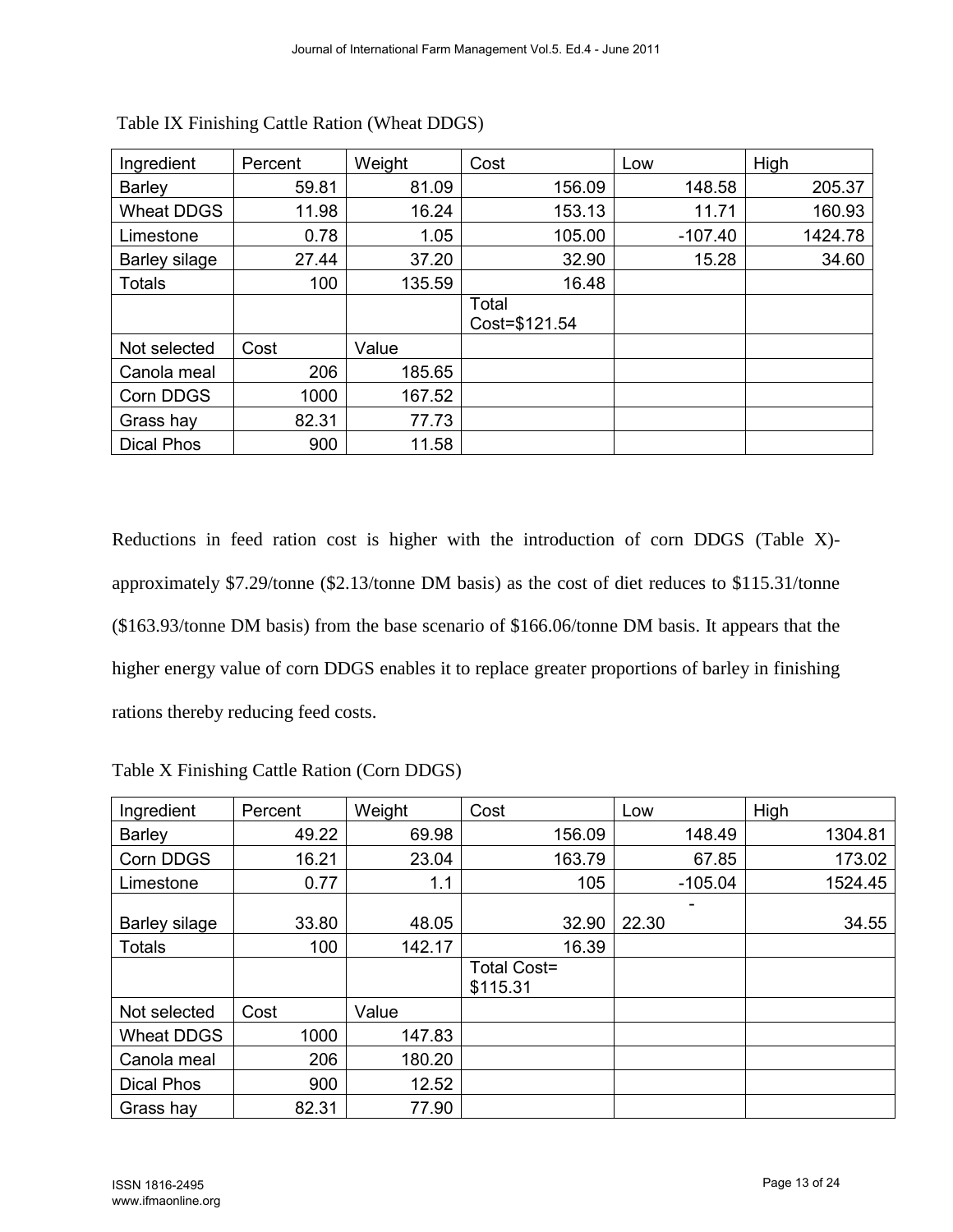| Ingredient        | Percent | Weight | Cost                   | Low       | High    |
|-------------------|---------|--------|------------------------|-----------|---------|
| <b>Barley</b>     | 59.81   | 81.09  | 156.09                 | 148.58    | 205.37  |
| <b>Wheat DDGS</b> | 11.98   | 16.24  | 153.13                 | 11.71     | 160.93  |
| Limestone         | 0.78    | 1.05   | 105.00                 | $-107.40$ | 1424.78 |
| Barley silage     | 27.44   | 37.20  | 32.90                  | 15.28     | 34.60   |
| <b>Totals</b>     | 100     | 135.59 | 16.48                  |           |         |
|                   |         |        | Total<br>Cost=\$121.54 |           |         |
| Not selected      | Cost    | Value  |                        |           |         |
| Canola meal       | 206     | 185.65 |                        |           |         |
| Corn DDGS         | 1000    | 167.52 |                        |           |         |
| Grass hay         | 82.31   | 77.73  |                        |           |         |
| <b>Dical Phos</b> | 900     | 11.58  |                        |           |         |

Reductions in feed ration cost is higher with the introduction of corn DDGS (Table X) approximately \$7.29/tonne (\$2.13/tonne DM basis) as the cost of diet reduces to \$115.31/tonne (\$163.93/tonne DM basis) from the base scenario of \$166.06/tonne DM basis. It appears that the higher energy value of corn DDGS enables it to replace greater proportions of barley in finishing rations thereby reducing feed costs.

| Ingredient        | Percent | Weight | Cost                           | Low       | High    |
|-------------------|---------|--------|--------------------------------|-----------|---------|
| Barley            | 49.22   | 69.98  | 156.09                         | 148.49    | 1304.81 |
| Corn DDGS         | 16.21   | 23.04  | 163.79                         | 67.85     | 173.02  |
| Limestone         | 0.77    | 1.1    | 105                            | $-105.04$ | 1524.45 |
| Barley silage     | 33.80   | 48.05  | 32.90                          | 22.30     | 34.55   |
| <b>Totals</b>     | 100     | 142.17 | 16.39                          |           |         |
|                   |         |        | <b>Total Cost=</b><br>\$115.31 |           |         |
| Not selected      | Cost    | Value  |                                |           |         |
| <b>Wheat DDGS</b> | 1000    | 147.83 |                                |           |         |
| Canola meal       | 206     | 180.20 |                                |           |         |
| <b>Dical Phos</b> | 900     | 12.52  |                                |           |         |
| Grass hay         | 82.31   | 77.90  |                                |           |         |

Table X Finishing Cattle Ration (Corn DDGS)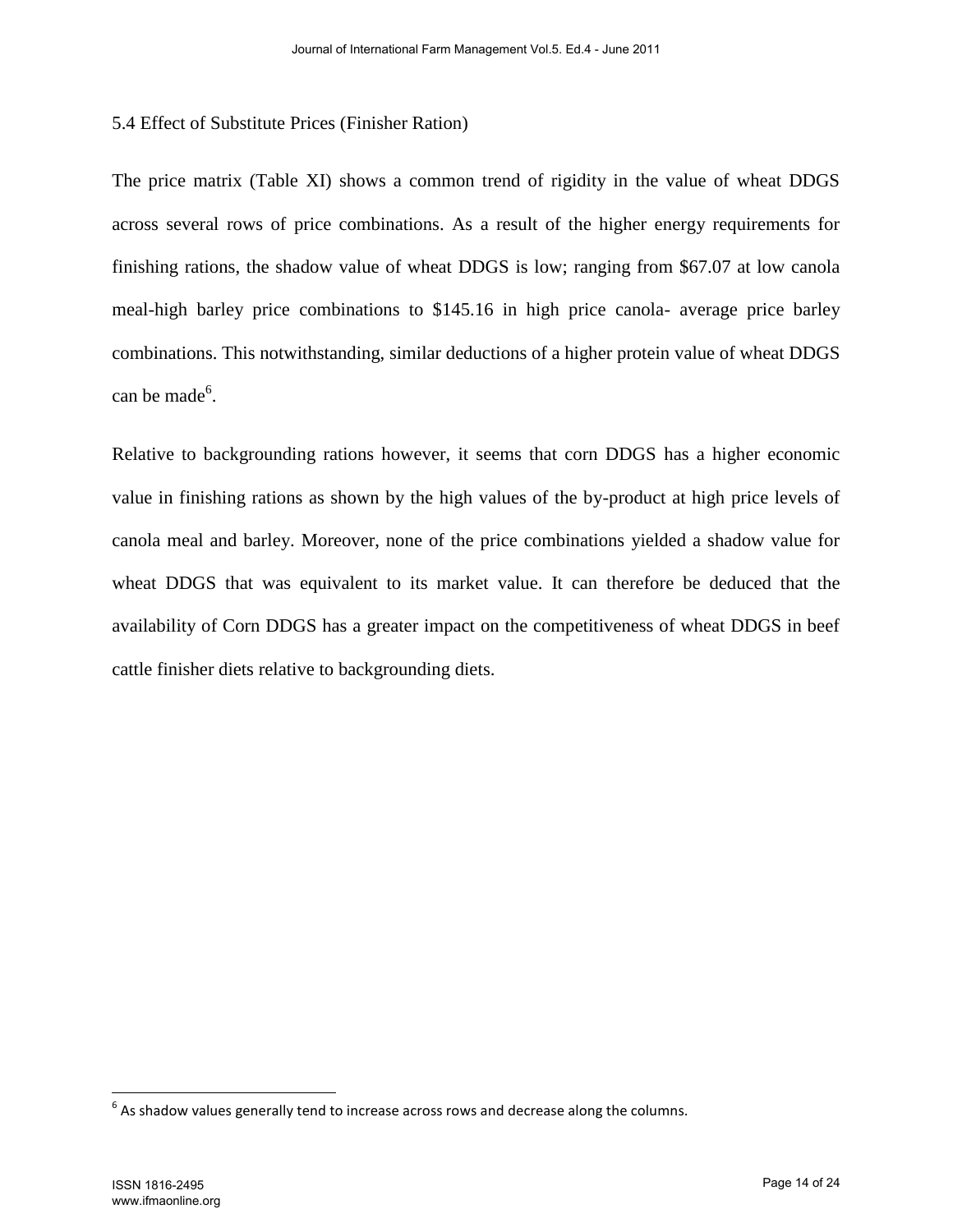### 5.4 Effect of Substitute Prices (Finisher Ration)

The price matrix (Table XI) shows a common trend of rigidity in the value of wheat DDGS across several rows of price combinations. As a result of the higher energy requirements for finishing rations, the shadow value of wheat DDGS is low; ranging from \$67.07 at low canola meal-high barley price combinations to \$145.16 in high price canola- average price barley combinations. This notwithstanding, similar deductions of a higher protein value of wheat DDGS can be made<sup>6</sup>.

Relative to backgrounding rations however, it seems that corn DDGS has a higher economic value in finishing rations as shown by the high values of the by-product at high price levels of canola meal and barley. Moreover, none of the price combinations yielded a shadow value for wheat DDGS that was equivalent to its market value. It can therefore be deduced that the availability of Corn DDGS has a greater impact on the competitiveness of wheat DDGS in beef cattle finisher diets relative to backgrounding diets.

 $\overline{\phantom{a}}$ 

 $^6$  As shadow values generally tend to increase across rows and decrease along the columns.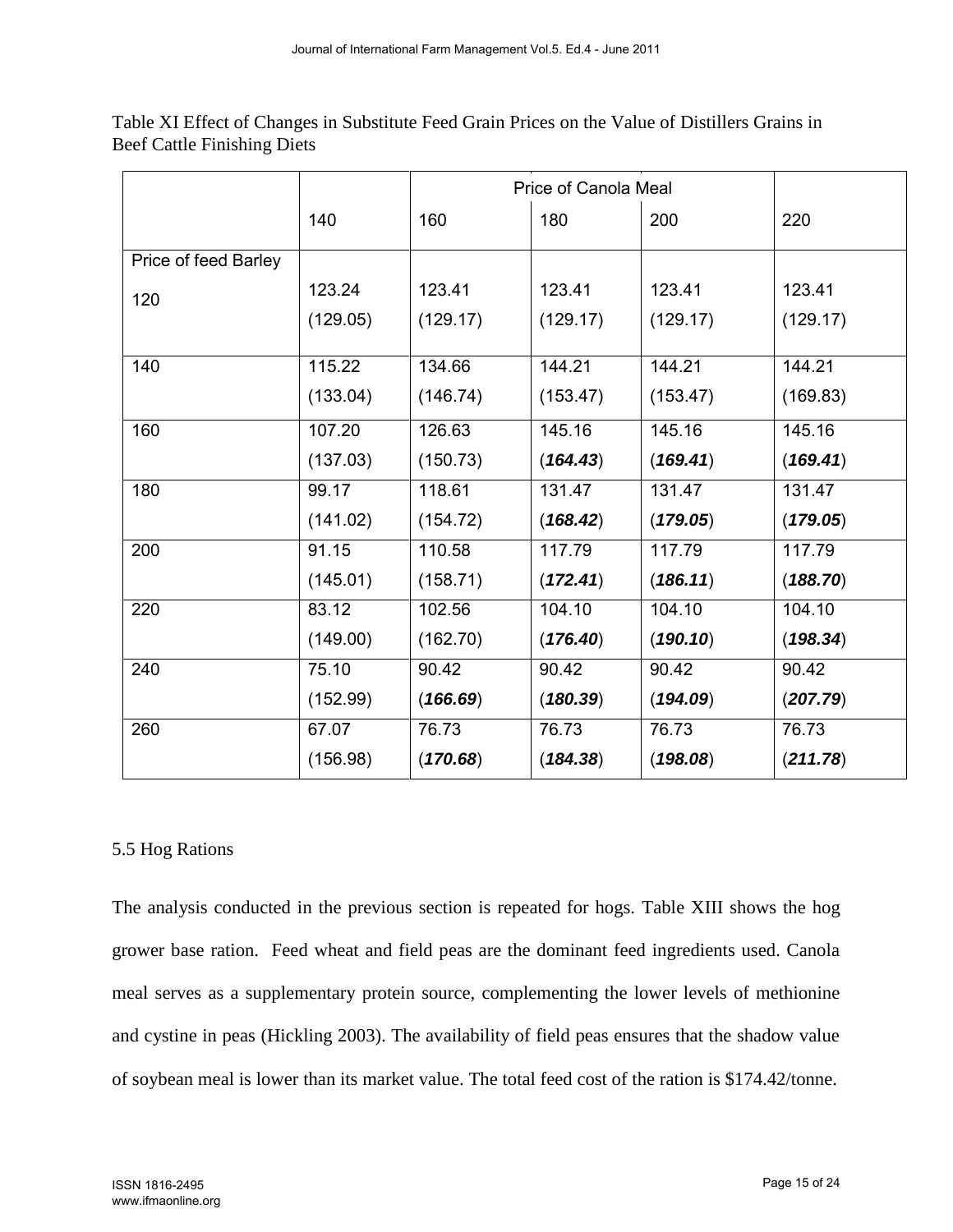|                      |          | Price of Canola Meal |          |          |          |
|----------------------|----------|----------------------|----------|----------|----------|
|                      | 140      | 160                  | 180      | 200      | 220      |
| Price of feed Barley |          |                      |          |          |          |
| 120                  | 123.24   | 123.41               | 123.41   | 123.41   | 123.41   |
|                      | (129.05) | (129.17)             | (129.17) | (129.17) | (129.17) |
| 140                  | 115.22   | 134.66               | 144.21   | 144.21   | 144.21   |
|                      | (133.04) | (146.74)             | (153.47) | (153.47) | (169.83) |
| 160                  | 107.20   | 126.63               | 145.16   | 145.16   | 145.16   |
|                      | (137.03) | (150.73)             | (164.43) | (169.41) | (169.41) |
| 180                  | 99.17    | 118.61               | 131.47   | 131.47   | 131.47   |
|                      | (141.02) | (154.72)             | (168.42) | (179.05) | (179.05) |
| 200                  | 91.15    | 110.58               | 117.79   | 117.79   | 117.79   |
|                      | (145.01) | (158.71)             | (172.41) | (186.11) | (188.70) |
| 220                  | 83.12    | 102.56               | 104.10   | 104.10   | 104.10   |
|                      | (149.00) | (162.70)             | (176.40) | (190.10) | (198.34) |
| 240                  | 75.10    | 90.42                | 90.42    | 90.42    | 90.42    |
|                      | (152.99) | (166.69)             | (180.39) | (194.09) | (207.79) |
| 260                  | 67.07    | 76.73                | 76.73    | 76.73    | 76.73    |
|                      | (156.98) | (170.68)             | (184.38) | (198.08) | (211.78) |

Table XI Effect of Changes in Substitute Feed Grain Prices on the Value of Distillers Grains in Beef Cattle Finishing Diets

# 5.5 Hog Rations

The analysis conducted in the previous section is repeated for hogs. Table XIII shows the hog grower base ration. Feed wheat and field peas are the dominant feed ingredients used. Canola meal serves as a supplementary protein source, complementing the lower levels of methionine and cystine in peas (Hickling 2003). The availability of field peas ensures that the shadow value of soybean meal is lower than its market value. The total feed cost of the ration is \$174.42/tonne.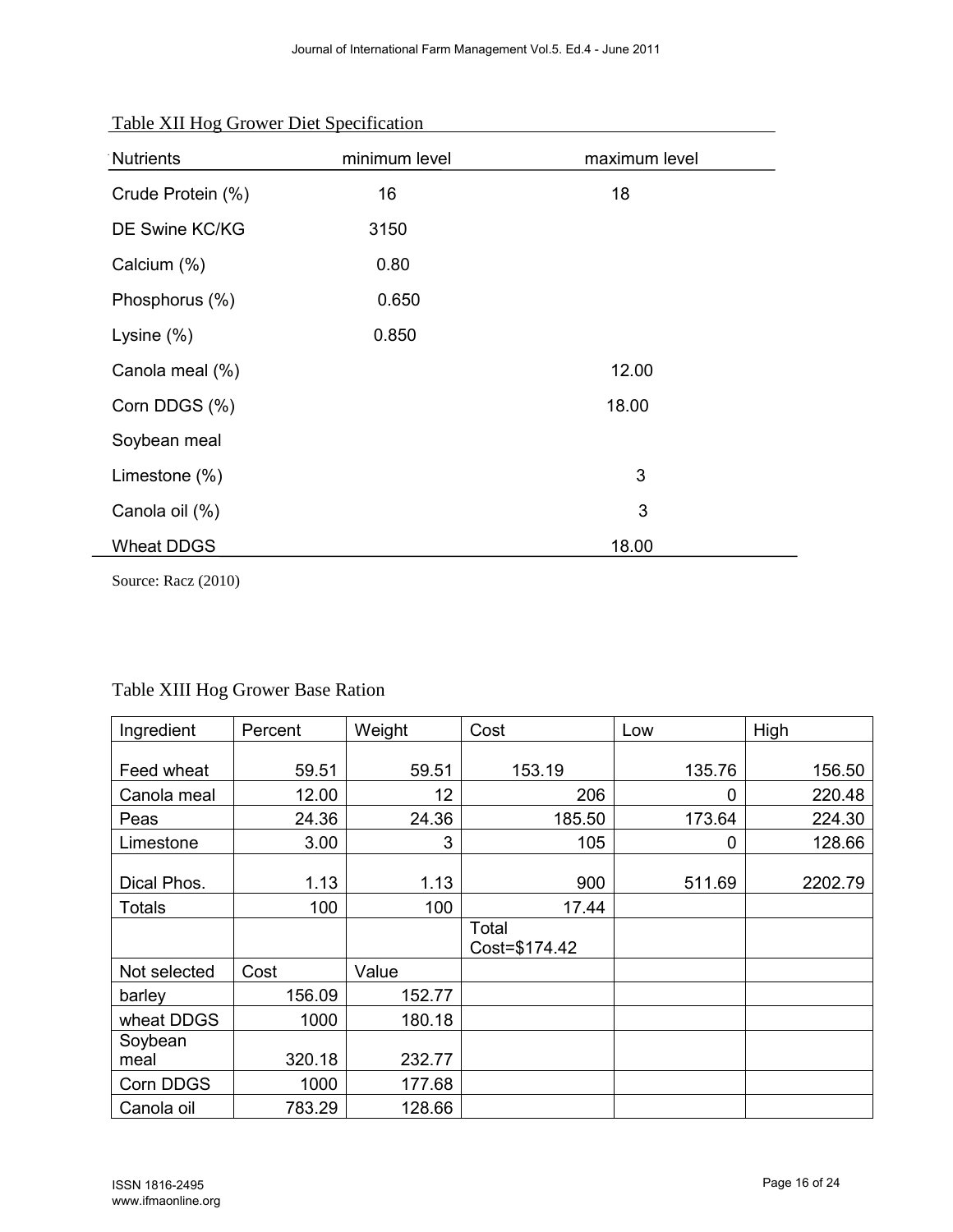| Nutrients         | minimum level | maximum level |
|-------------------|---------------|---------------|
| Crude Protein (%) | 16            | 18            |
| DE Swine KC/KG    | 3150          |               |
| Calcium (%)       | 0.80          |               |
| Phosphorus (%)    | 0.650         |               |
| Lysine $(\%)$     | 0.850         |               |
| Canola meal (%)   |               | 12.00         |
| Corn DDGS (%)     |               | 18.00         |
| Soybean meal      |               |               |
| Limestone (%)     |               | 3             |
| Canola oil (%)    |               | 3             |
| <b>Wheat DDGS</b> |               | 18.00         |

Table XII Hog Grower Diet Specification

Source: Racz (2010)

| Ingredient    | Percent | Weight | Cost                   | Low    | High    |
|---------------|---------|--------|------------------------|--------|---------|
|               |         |        |                        |        |         |
| Feed wheat    | 59.51   | 59.51  | 153.19                 | 135.76 | 156.50  |
| Canola meal   | 12.00   | 12     | 206                    | 0      | 220.48  |
| Peas          | 24.36   | 24.36  | 185.50                 | 173.64 | 224.30  |
| Limestone     | 3.00    | 3      | 105                    | 0      | 128.66  |
| Dical Phos.   | 1.13    | 1.13   | 900                    | 511.69 | 2202.79 |
| <b>Totals</b> | 100     | 100    | 17.44                  |        |         |
|               |         |        | Total<br>Cost=\$174.42 |        |         |
| Not selected  | Cost    | Value  |                        |        |         |
| barley        | 156.09  | 152.77 |                        |        |         |
| wheat DDGS    | 1000    | 180.18 |                        |        |         |
| Soybean       |         |        |                        |        |         |
| meal          | 320.18  | 232.77 |                        |        |         |
| Corn DDGS     | 1000    | 177.68 |                        |        |         |
| Canola oil    | 783.29  | 128.66 |                        |        |         |

# Table XIII Hog Grower Base Ration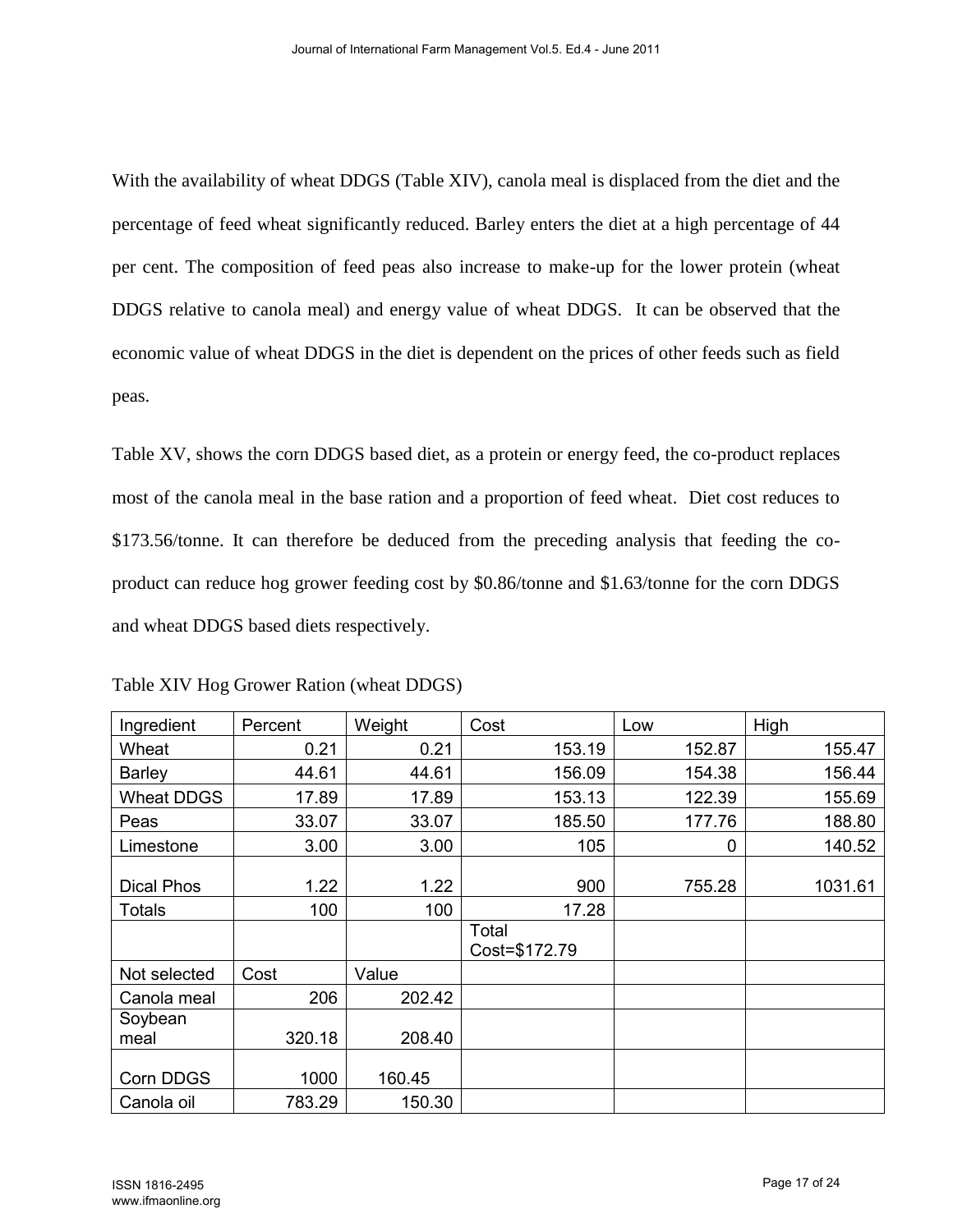With the availability of wheat DDGS (Table XIV), canola meal is displaced from the diet and the percentage of feed wheat significantly reduced. Barley enters the diet at a high percentage of 44 per cent. The composition of feed peas also increase to make-up for the lower protein (wheat DDGS relative to canola meal) and energy value of wheat DDGS. It can be observed that the economic value of wheat DDGS in the diet is dependent on the prices of other feeds such as field peas.

Table XV, shows the corn DDGS based diet, as a protein or energy feed, the co-product replaces most of the canola meal in the base ration and a proportion of feed wheat. Diet cost reduces to \$173.56/tonne. It can therefore be deduced from the preceding analysis that feeding the coproduct can reduce hog grower feeding cost by \$0.86/tonne and \$1.63/tonne for the corn DDGS and wheat DDGS based diets respectively.

| Ingredient        | Percent | Weight | Cost                   | Low    | High    |
|-------------------|---------|--------|------------------------|--------|---------|
| Wheat             | 0.21    | 0.21   | 153.19                 | 152.87 | 155.47  |
| <b>Barley</b>     | 44.61   | 44.61  | 156.09                 | 154.38 | 156.44  |
| <b>Wheat DDGS</b> | 17.89   | 17.89  | 153.13                 | 122.39 | 155.69  |
| Peas              | 33.07   | 33.07  | 185.50                 | 177.76 | 188.80  |
| Limestone         | 3.00    | 3.00   | 105                    | 0      | 140.52  |
| Dical Phos        | 1.22    | 1.22   | 900                    | 755.28 | 1031.61 |
| <b>Totals</b>     | 100     | 100    | 17.28                  |        |         |
|                   |         |        | Total<br>Cost=\$172.79 |        |         |
| Not selected      | Cost    | Value  |                        |        |         |
| Canola meal       | 206     | 202.42 |                        |        |         |
| Soybean<br>meal   | 320.18  | 208.40 |                        |        |         |
| Corn DDGS         | 1000    | 160.45 |                        |        |         |
| Canola oil        | 783.29  | 150.30 |                        |        |         |

Table XIV Hog Grower Ration (wheat DDGS)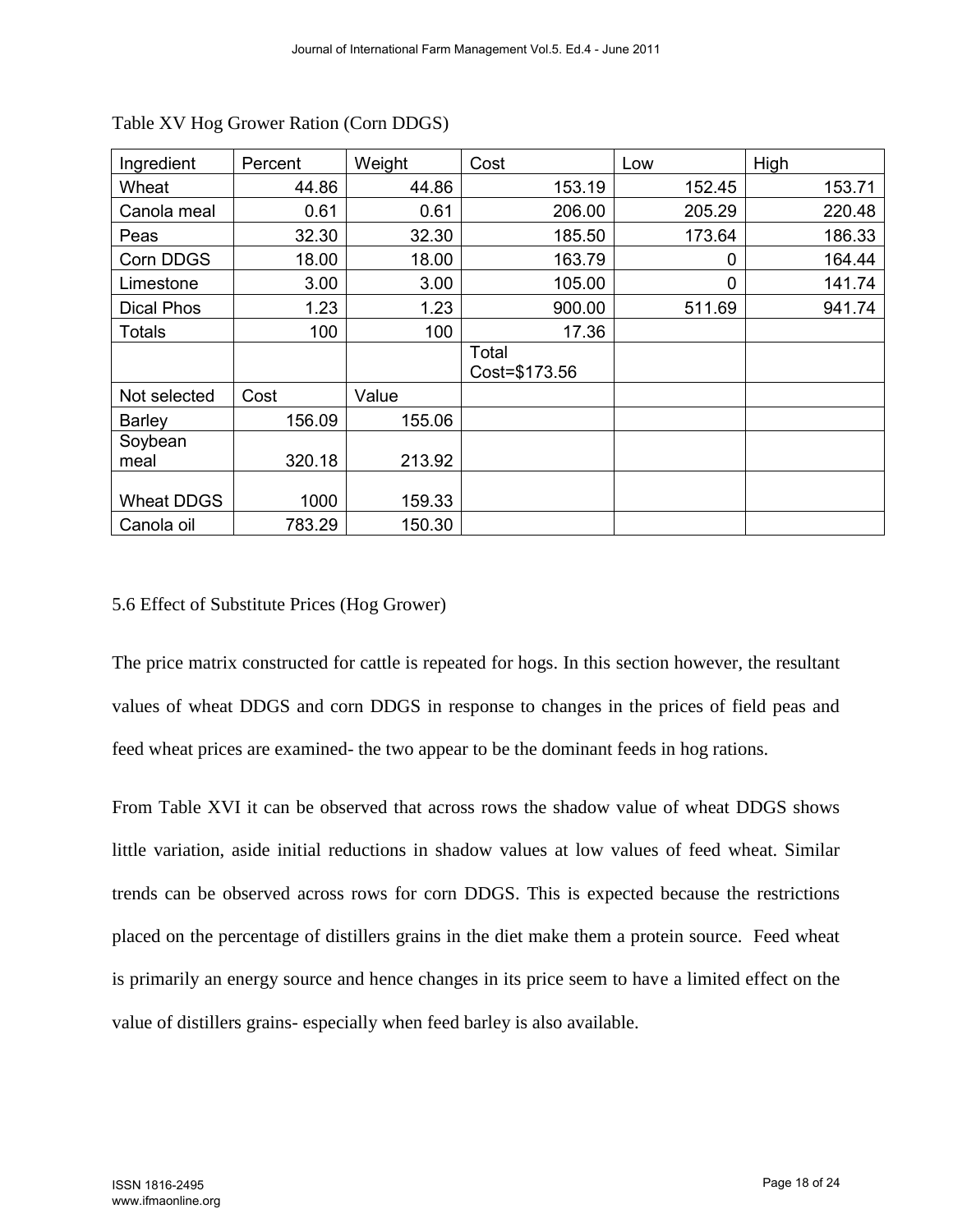| Ingredient        | Percent | Weight | Cost                   | Low    | High   |
|-------------------|---------|--------|------------------------|--------|--------|
| Wheat             | 44.86   | 44.86  | 153.19                 | 152.45 | 153.71 |
| Canola meal       | 0.61    | 0.61   | 206.00                 | 205.29 | 220.48 |
| Peas              | 32.30   | 32.30  | 185.50                 | 173.64 | 186.33 |
| Corn DDGS         | 18.00   | 18.00  | 163.79                 | 0      | 164.44 |
| Limestone         | 3.00    | 3.00   | 105.00                 | 0      | 141.74 |
| <b>Dical Phos</b> | 1.23    | 1.23   | 900.00                 | 511.69 | 941.74 |
| Totals            | 100     | 100    | 17.36                  |        |        |
|                   |         |        | Total<br>Cost=\$173.56 |        |        |
| Not selected      | Cost    | Value  |                        |        |        |
| <b>Barley</b>     | 156.09  | 155.06 |                        |        |        |
| Soybean<br>meal   | 320.18  | 213.92 |                        |        |        |
| <b>Wheat DDGS</b> | 1000    | 159.33 |                        |        |        |
| Canola oil        | 783.29  | 150.30 |                        |        |        |

Table XV Hog Grower Ration (Corn DDGS)

#### 5.6 Effect of Substitute Prices (Hog Grower)

The price matrix constructed for cattle is repeated for hogs. In this section however, the resultant values of wheat DDGS and corn DDGS in response to changes in the prices of field peas and feed wheat prices are examined- the two appear to be the dominant feeds in hog rations.

From Table XVI it can be observed that across rows the shadow value of wheat DDGS shows little variation, aside initial reductions in shadow values at low values of feed wheat. Similar trends can be observed across rows for corn DDGS. This is expected because the restrictions placed on the percentage of distillers grains in the diet make them a protein source. Feed wheat is primarily an energy source and hence changes in its price seem to have a limited effect on the value of distillers grains- especially when feed barley is also available.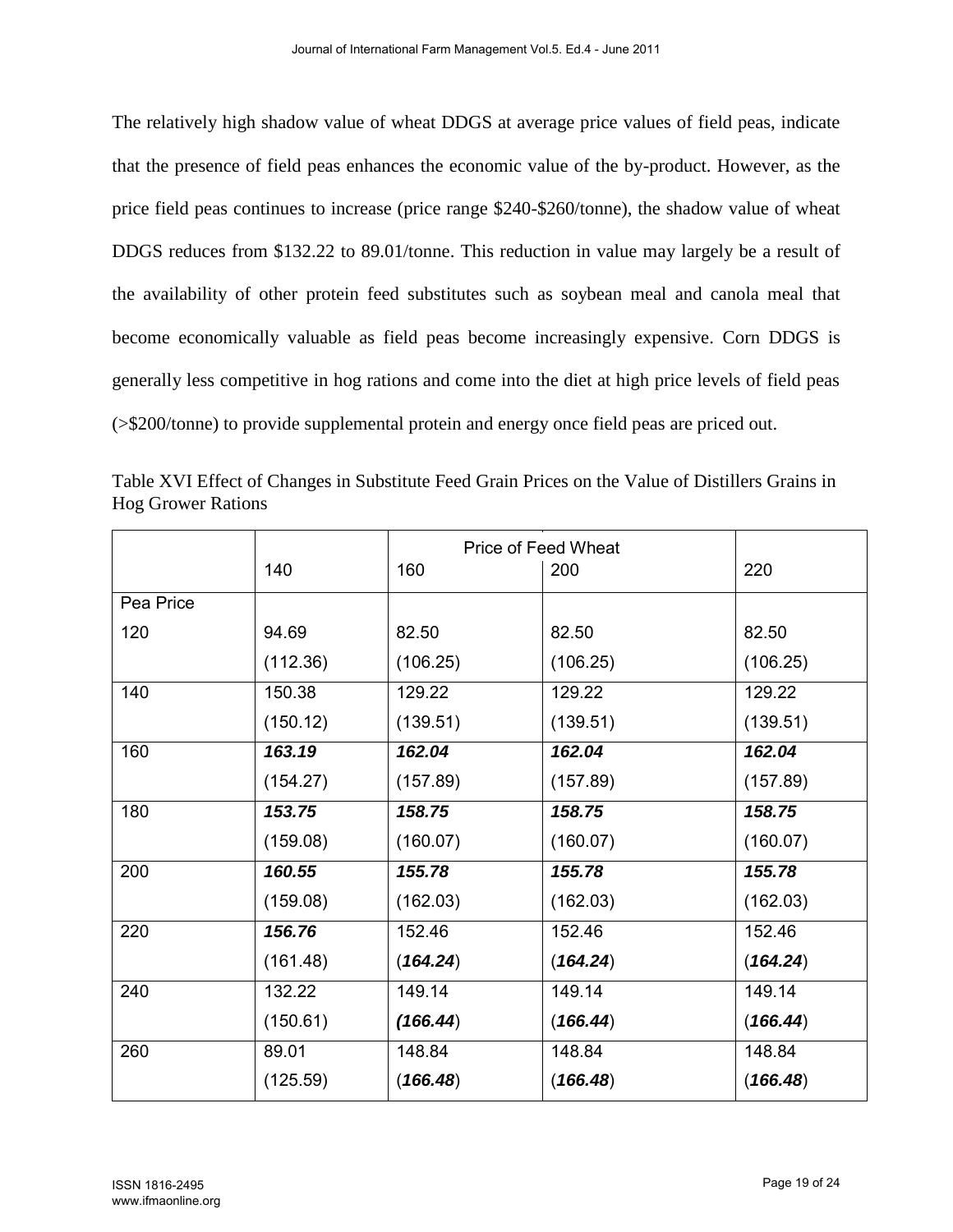The relatively high shadow value of wheat DDGS at average price values of field peas, indicate that the presence of field peas enhances the economic value of the by-product. However, as the price field peas continues to increase (price range \$240-\$260/tonne), the shadow value of wheat DDGS reduces from \$132.22 to 89.01/tonne. This reduction in value may largely be a result of the availability of other protein feed substitutes such as soybean meal and canola meal that become economically valuable as field peas become increasingly expensive. Corn DDGS is generally less competitive in hog rations and come into the diet at high price levels of field peas (>\$200/tonne) to provide supplemental protein and energy once field peas are priced out.

|           |          | Price of Feed Wheat |          |          |
|-----------|----------|---------------------|----------|----------|
|           | 140      | 160                 | 200      | 220      |
| Pea Price |          |                     |          |          |
| 120       | 94.69    | 82.50               | 82.50    | 82.50    |
|           | (112.36) | (106.25)            | (106.25) | (106.25) |
| 140       | 150.38   | 129.22              | 129.22   | 129.22   |
|           | (150.12) | (139.51)            | (139.51) | (139.51) |
| 160       | 163.19   | 162.04              | 162.04   | 162.04   |
|           | (154.27) | (157.89)            | (157.89) | (157.89) |
| 180       | 153.75   | 158.75              | 158.75   | 158.75   |
|           | (159.08) | (160.07)            | (160.07) | (160.07) |
| 200       | 160.55   | 155.78              | 155.78   | 155.78   |
|           | (159.08) | (162.03)            | (162.03) | (162.03) |
| 220       | 156.76   | 152.46              | 152.46   | 152.46   |
|           | (161.48) | (164.24)            | (164.24) | (164.24) |
| 240       | 132.22   | 149.14              | 149.14   | 149.14   |
|           | (150.61) | (166.44)            | (166.44) | (166.44) |
| 260       | 89.01    | 148.84              | 148.84   | 148.84   |
|           | (125.59) | (166.48)            | (166.48) | (166.48) |

Table XVI Effect of Changes in Substitute Feed Grain Prices on the Value of Distillers Grains in Hog Grower Rations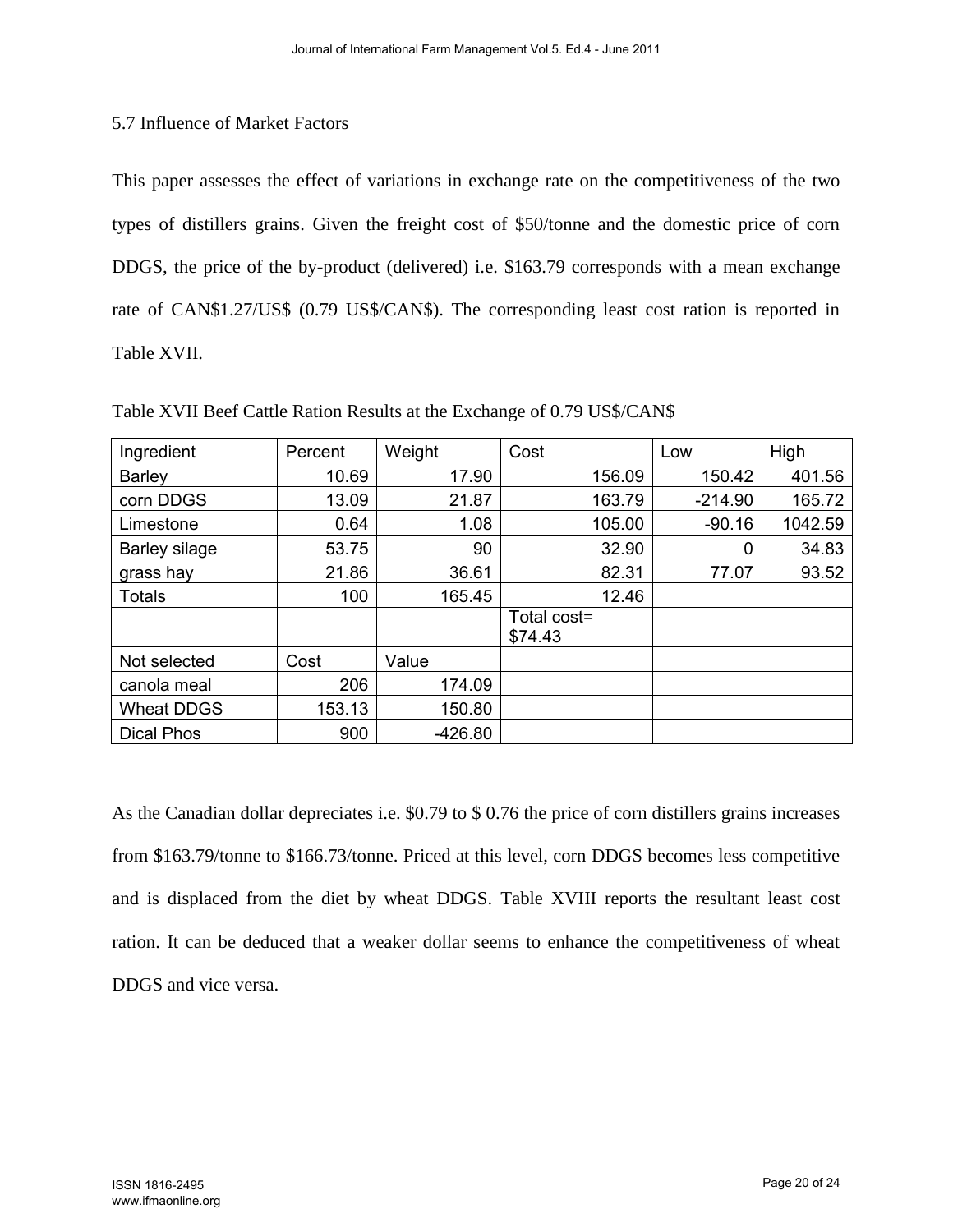## 5.7 Influence of Market Factors

This paper assesses the effect of variations in exchange rate on the competitiveness of the two types of distillers grains. Given the freight cost of \$50/tonne and the domestic price of corn DDGS, the price of the by-product (delivered) i.e. \$163.79 corresponds with a mean exchange rate of CAN\$1.27/US\$ (0.79 US\$/CAN\$). The corresponding least cost ration is reported in Table XVII.

| Ingredient        | Percent | Weight    | Cost                   | Low       | High    |
|-------------------|---------|-----------|------------------------|-----------|---------|
| <b>Barley</b>     | 10.69   | 17.90     | 156.09                 | 150.42    | 401.56  |
| corn DDGS         | 13.09   | 21.87     | 163.79                 | $-214.90$ | 165.72  |
| Limestone         | 0.64    | 1.08      | 105.00                 | $-90.16$  | 1042.59 |
| Barley silage     | 53.75   | 90        | 32.90                  | 0         | 34.83   |
| grass hay         | 21.86   | 36.61     | 82.31                  | 77.07     | 93.52   |
| <b>Totals</b>     | 100     | 165.45    | 12.46                  |           |         |
|                   |         |           | Total cost=<br>\$74.43 |           |         |
| Not selected      | Cost    | Value     |                        |           |         |
| canola meal       | 206     | 174.09    |                        |           |         |
| <b>Wheat DDGS</b> | 153.13  | 150.80    |                        |           |         |
| <b>Dical Phos</b> | 900     | $-426.80$ |                        |           |         |

Table XVII Beef Cattle Ration Results at the Exchange of 0.79 US\$/CAN\$

As the Canadian dollar depreciates i.e. \$0.79 to \$ 0.76 the price of corn distillers grains increases from \$163.79/tonne to \$166.73/tonne. Priced at this level, corn DDGS becomes less competitive and is displaced from the diet by wheat DDGS. Table XVIII reports the resultant least cost ration. It can be deduced that a weaker dollar seems to enhance the competitiveness of wheat DDGS and vice versa.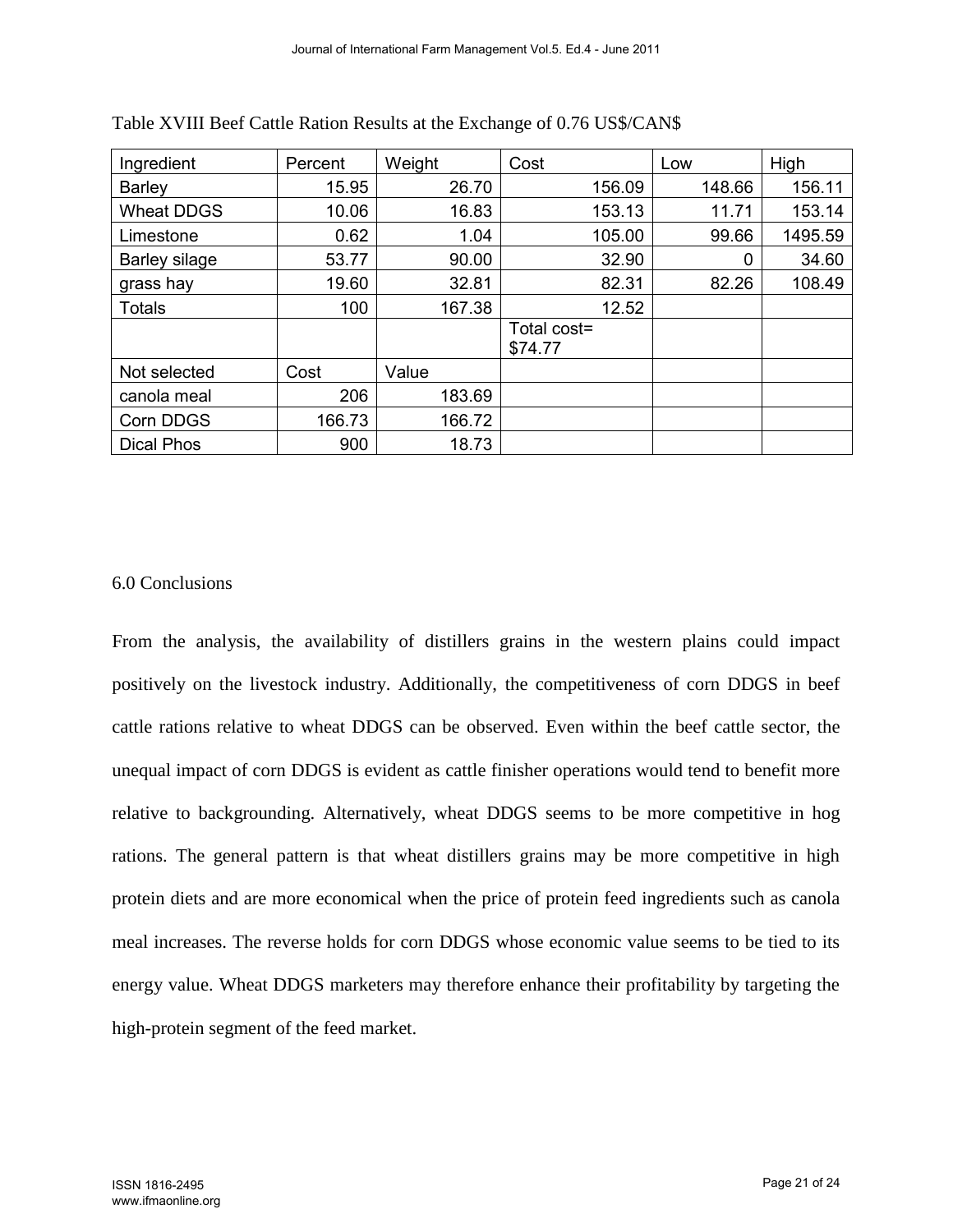| Ingredient           | Percent | Weight | Cost                   | Low    | High    |
|----------------------|---------|--------|------------------------|--------|---------|
| <b>Barley</b>        | 15.95   | 26.70  | 156.09                 | 148.66 | 156.11  |
| <b>Wheat DDGS</b>    | 10.06   | 16.83  | 153.13                 | 11.71  | 153.14  |
| Limestone            | 0.62    | 1.04   | 105.00                 | 99.66  | 1495.59 |
| <b>Barley silage</b> | 53.77   | 90.00  | 32.90                  | 0      | 34.60   |
| grass hay            | 19.60   | 32.81  | 82.31                  | 82.26  | 108.49  |
| <b>Totals</b>        | 100     | 167.38 | 12.52                  |        |         |
|                      |         |        | Total cost=<br>\$74.77 |        |         |
| Not selected         | Cost    | Value  |                        |        |         |
| canola meal          | 206     | 183.69 |                        |        |         |
| Corn DDGS            | 166.73  | 166.72 |                        |        |         |
| <b>Dical Phos</b>    | 900     | 18.73  |                        |        |         |

Table XVIII Beef Cattle Ration Results at the Exchange of 0.76 US\$/CAN\$

## 6.0 Conclusions

From the analysis, the availability of distillers grains in the western plains could impact positively on the livestock industry. Additionally, the competitiveness of corn DDGS in beef cattle rations relative to wheat DDGS can be observed. Even within the beef cattle sector, the unequal impact of corn DDGS is evident as cattle finisher operations would tend to benefit more relative to backgrounding. Alternatively, wheat DDGS seems to be more competitive in hog rations. The general pattern is that wheat distillers grains may be more competitive in high protein diets and are more economical when the price of protein feed ingredients such as canola meal increases. The reverse holds for corn DDGS whose economic value seems to be tied to its energy value. Wheat DDGS marketers may therefore enhance their profitability by targeting the high-protein segment of the feed market.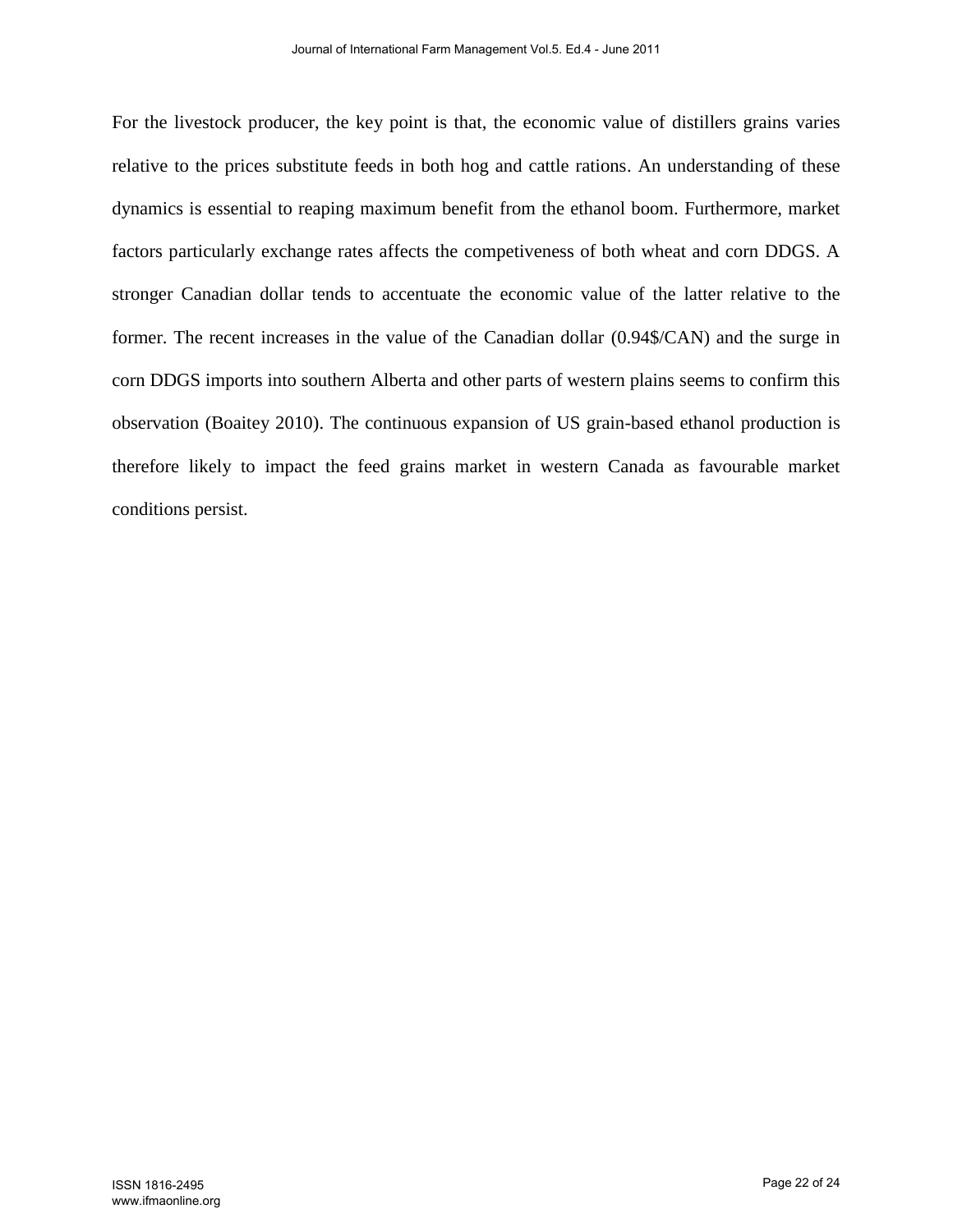For the livestock producer, the key point is that, the economic value of distillers grains varies relative to the prices substitute feeds in both hog and cattle rations. An understanding of these dynamics is essential to reaping maximum benefit from the ethanol boom. Furthermore, market factors particularly exchange rates affects the competiveness of both wheat and corn DDGS. A stronger Canadian dollar tends to accentuate the economic value of the latter relative to the former. The recent increases in the value of the Canadian dollar (0.94\$/CAN) and the surge in corn DDGS imports into southern Alberta and other parts of western plains seems to confirm this observation (Boaitey 2010). The continuous expansion of US grain-based ethanol production is therefore likely to impact the feed grains market in western Canada as favourable market conditions persist.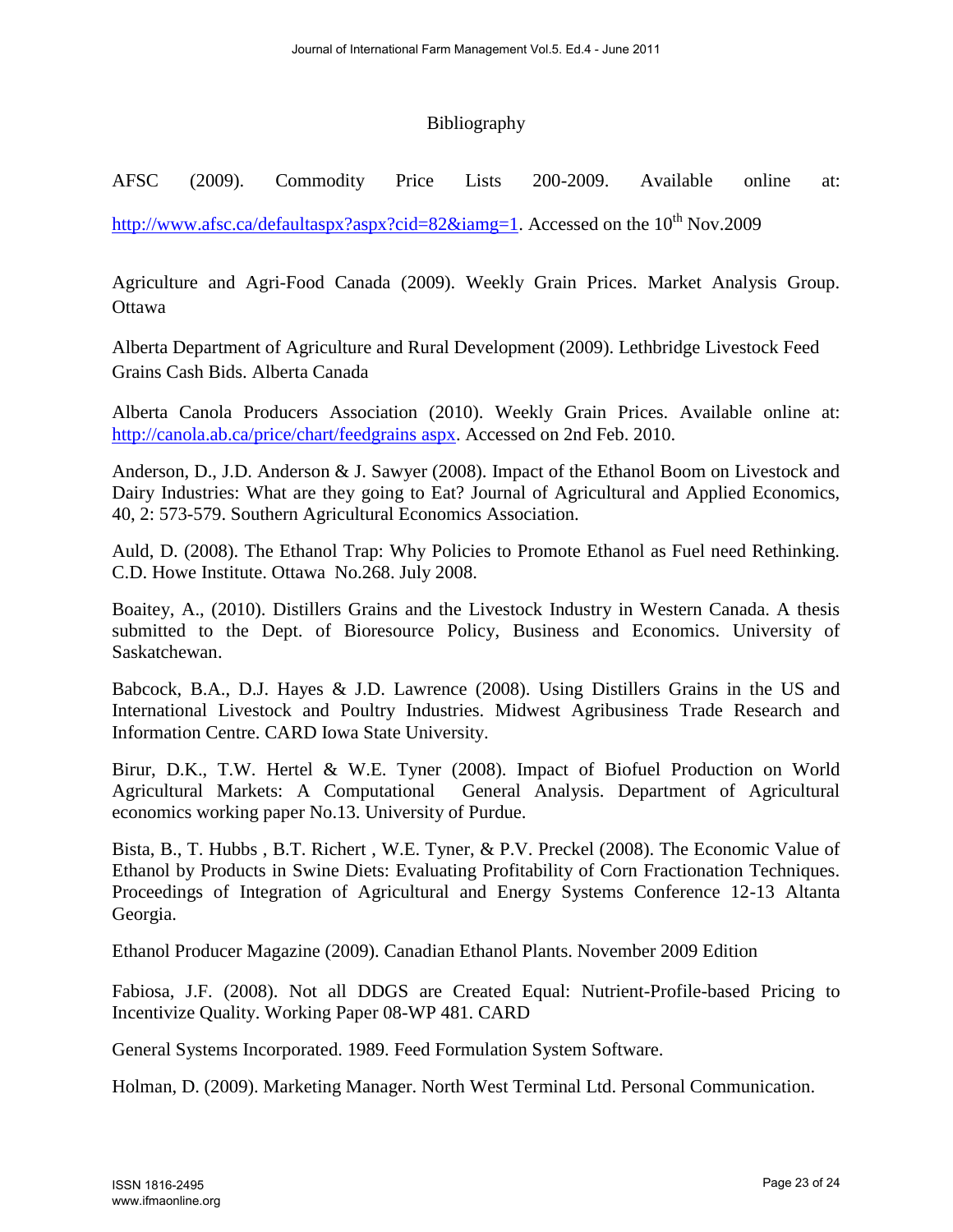# Bibliography

AFSC (2009). Commodity Price Lists 200-2009. Available online at:

http://www.afsc.ca/defaultaspx?aspx?cid=82&iamg=1. Accessed on the  $10^{th}$  Nov.2009

Agriculture and Agri-Food Canada (2009). Weekly Grain Prices. Market Analysis Group. **Ottawa** 

Alberta Department of Agriculture and Rural Development (2009). Lethbridge Livestock Feed Grains Cash Bids. Alberta Canada

Alberta Canola Producers Association (2010). Weekly Grain Prices. Available online at: http://canola.ab.ca/price/chart/feedgrains aspx. Accessed on 2nd Feb. 2010.

Anderson, D., J.D. Anderson & J. Sawyer (2008). Impact of the Ethanol Boom on Livestock and Dairy Industries: What are they going to Eat? Journal of Agricultural and Applied Economics, 40, 2: 573-579. Southern Agricultural Economics Association.

Auld, D. (2008). The Ethanol Trap: Why Policies to Promote Ethanol as Fuel need Rethinking. C.D. Howe Institute. Ottawa No.268. July 2008.

Boaitey, A., (2010). Distillers Grains and the Livestock Industry in Western Canada. A thesis submitted to the Dept. of Bioresource Policy, Business and Economics. University of Saskatchewan.

Babcock, B.A., D.J. Hayes & J.D. Lawrence (2008). Using Distillers Grains in the US and International Livestock and Poultry Industries. Midwest Agribusiness Trade Research and Information Centre. CARD Iowa State University.

Birur, D.K., T.W. Hertel & W.E. Tyner (2008). Impact of Biofuel Production on World Agricultural Markets: A Computational General Analysis. Department of Agricultural economics working paper No.13. University of Purdue.

Bista, B., T. Hubbs , B.T. Richert , W.E. Tyner, & P.V. Preckel (2008). The Economic Value of Ethanol by Products in Swine Diets: Evaluating Profitability of Corn Fractionation Techniques. Proceedings of Integration of Agricultural and Energy Systems Conference 12-13 Altanta Georgia.

Ethanol Producer Magazine (2009). Canadian Ethanol Plants. November 2009 Edition

Fabiosa, J.F. (2008). Not all DDGS are Created Equal: Nutrient-Profile-based Pricing to Incentivize Quality. Working Paper 08-WP 481. CARD

General Systems Incorporated. 1989. Feed Formulation System Software.

Holman, D. (2009). Marketing Manager. North West Terminal Ltd. Personal Communication.